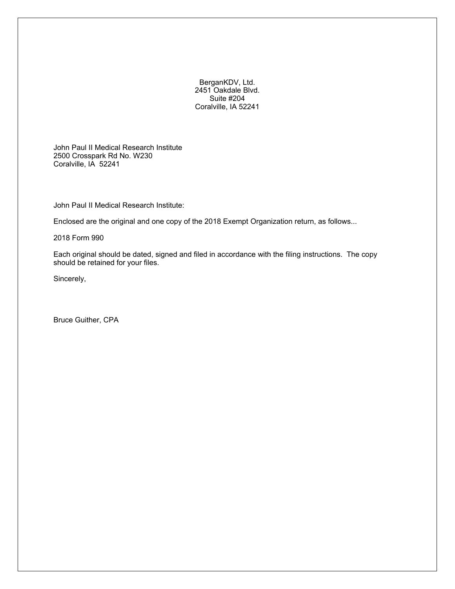BerganKDV, Ltd. 2451 Oakdale Blvd. Suite #204 Coralville, IA 52241

John Paul II Medical Research Institute 2500 Crosspark Rd No. W230 Coralville, IA 52241

John Paul II Medical Research Institute:

Enclosed are the original and one copy of the 2018 Exempt Organization return, as follows...

2018 Form 990

Each original should be dated, signed and filed in accordance with the filing instructions. The copy should be retained for your files.

Sincerely,

Bruce Guither, CPA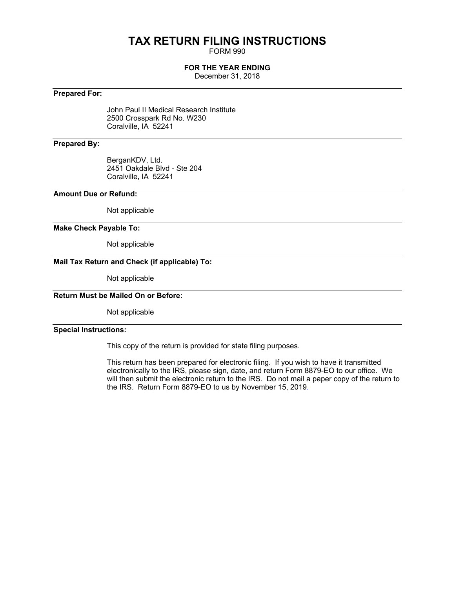# **TAX RETURN FILING INSTRUCTIONS**

FORM 990

## **FOR THE YEAR ENDING**

December 31, 2018

## **Prepared For:**

John Paul II Medical Research Institute 2500 Crosspark Rd No. W230 Coralville, IA 52241

## **Prepared By:**

BerganKDV, Ltd. 2451 Oakdale Blvd - Ste 204 Coralville, IA 52241

## **Amount Due or Refund:**

Not applicable

#### **Make Check Payable To:**

Not applicable

## **Mail Tax Return and Check (if applicable) To:**

Not applicable

## **Return Must be Mailed On or Before:**

Not applicable

## **Special Instructions:**

This copy of the return is provided for state filing purposes.

This return has been prepared for electronic filing. If you wish to have it transmitted electronically to the IRS, please sign, date, and return Form 8879-EO to our office. We will then submit the electronic return to the IRS. Do not mail a paper copy of the return to the IRS. Return Form 8879-EO to us by November 15, 2019.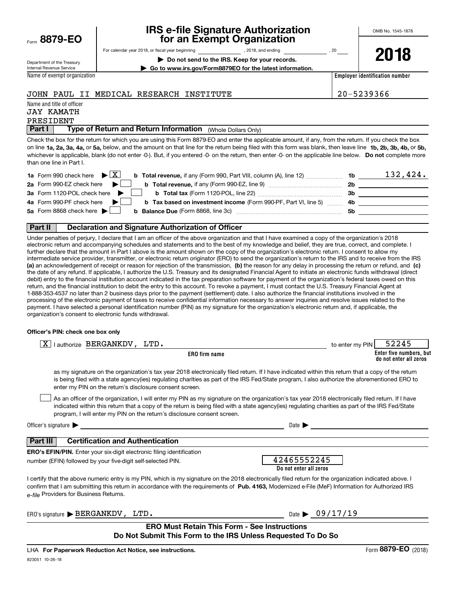| Form | 8879-EO |  |  |
|------|---------|--|--|
|      |         |  |  |

## **IRS e-file Signature Authorization for an Exempt Organization**

**| Go to www.irs.gov/Form8879EO for the latest information.**

For calendar year 2018, or fiscal year beginning and the state of the state of 2018, and ending calendary pear of 20

**2018**

Department of the Treasury Internal Revenue Service

**| Do not send to the IRS. Keep for your records.**

**Employer identification number**

## JOHN PAUL II MEDICAL RESEARCH INSTITUTE  $\vert$  20-5239366

Name and title of officer JAY KAMATH

Name of exempt organization

# PRESIDENT

**Part I** | Type of Return and Return Information (Whole Dollars Only)

on line **1a, 2a, 3a, 4a,** or **5a,** below, and the amount on that line for the return being filed with this form was blank, then leave line **1b, 2b, 3b, 4b,** or **5b,** whichever is applicable, blank (do not enter -0-). But, if you entered -0- on the return, then enter -0- on the applicable line below. **Do not** complete more Check the box for the return for which you are using this Form 8879-EO and enter the applicable amount, if any, from the return. If you check the box than one line in Part I.

| <b>1a</b> Form 990 check here $\blacktriangleright \boxed{X}$                                          | 1b        | 132,424. |
|--------------------------------------------------------------------------------------------------------|-----------|----------|
| 2a Form 990-EZ check here                                                                              | <b>2b</b> |          |
| 3a Form 1120-POL check here                                                                            | Зb        |          |
| 4a Form 990-PF check here<br><b>b</b> Tax based on investment income (Form 990-PF, Part VI, line 5) 4b |           |          |
| 5a Form 8868 check here $\blacktriangleright$<br><b>b</b> Balance Due (Form 8868, line 3c)             | .5b       |          |
|                                                                                                        |           |          |

#### **Part II Declaration and Signature Authorization of Officer**

**(a)** an acknowledgement of receipt or reason for rejection of the transmission, (b) the reason for any delay in processing the return or refund, and (c) Under penalties of perjury, I declare that I am an officer of the above organization and that I have examined a copy of the organization's 2018 electronic return and accompanying schedules and statements and to the best of my knowledge and belief, they are true, correct, and complete. I further declare that the amount in Part I above is the amount shown on the copy of the organization's electronic return. I consent to allow my intermediate service provider, transmitter, or electronic return originator (ERO) to send the organization's return to the IRS and to receive from the IRS the date of any refund. If applicable, I authorize the U.S. Treasury and its designated Financial Agent to initiate an electronic funds withdrawal (direct debit) entry to the financial institution account indicated in the tax preparation software for payment of the organization's federal taxes owed on this return, and the financial institution to debit the entry to this account. To revoke a payment, I must contact the U.S. Treasury Financial Agent at 1-888-353-4537 no later than 2 business days prior to the payment (settlement) date. I also authorize the financial institutions involved in the processing of the electronic payment of taxes to receive confidential information necessary to answer inquiries and resolve issues related to the payment. I have selected a personal identification number (PIN) as my signature for the organization's electronic return and, if applicable, the organization's consent to electronic funds withdrawal.

#### **Officer's PIN: check one box only**

| lauthorize BERGANKDV, LTD.<br>X.                                                                                                                                                                                                                                                                                                                                                 | to enter my PIN | 52245                                             |
|----------------------------------------------------------------------------------------------------------------------------------------------------------------------------------------------------------------------------------------------------------------------------------------------------------------------------------------------------------------------------------|-----------------|---------------------------------------------------|
| <b>ERO</b> firm name                                                                                                                                                                                                                                                                                                                                                             |                 | Enter five numbers, but<br>do not enter all zeros |
| as my signature on the organization's tax year 2018 electronically filed return. If I have indicated within this return that a copy of the return<br>is being filed with a state agency(ies) regulating charities as part of the IRS Fed/State program, I also authorize the aforementioned ERO to<br>enter my PIN on the return's disclosure consent screen.                    |                 |                                                   |
| As an officer of the organization, I will enter my PIN as my signature on the organization's tax year 2018 electronically filed return. If I have<br>indicated within this return that a copy of the return is being filed with a state agency(ies) regulating charities as part of the IRS Fed/State<br>program, I will enter my PIN on the return's disclosure consent screen. |                 |                                                   |
| Officer's signature $\blacktriangleright$<br>Date $\blacktriangleright$                                                                                                                                                                                                                                                                                                          |                 |                                                   |
| <b>Certification and Authentication</b><br>Part III                                                                                                                                                                                                                                                                                                                              |                 |                                                   |
| <b>ERO's EFIN/PIN.</b> Enter your six-digit electronic filing identification<br>42465552245<br>number (EFIN) followed by your five-digit self-selected PIN.<br>Do not enter all zeros                                                                                                                                                                                            |                 |                                                   |
| I certify that the above numeric entry is my PIN, which is my signature on the 2018 electronically filed return for the organization indicated above. I<br>confirm that I am submitting this return in accordance with the requirements of Pub. 4163, Modernized e-File (MeF) Information for Authorized IRS<br>e-file Providers for Business Returns.                           |                 |                                                   |
| Date $\triangleright$ 09/17/19<br>ERO's signature $\blacktriangleright$ BERGANKDV, LTD.                                                                                                                                                                                                                                                                                          |                 |                                                   |
| <b>ERO Must Retain This Form - See Instructions</b><br>Do Not Submit This Form to the IRS Unless Requested To Do So                                                                                                                                                                                                                                                              |                 |                                                   |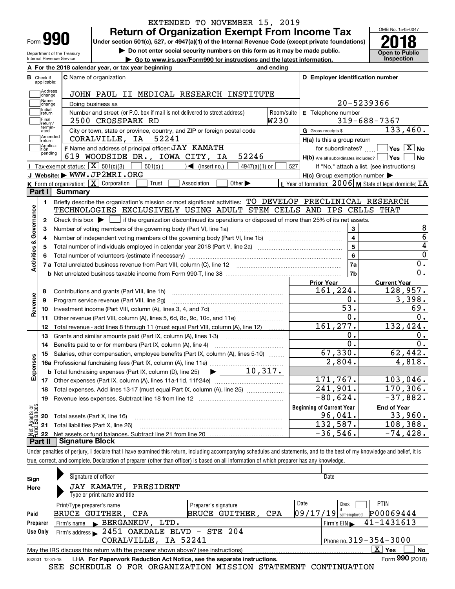| Form |  |
|------|--|

Department of the Treasury Internal Revenue Service

## **Return of Organization Exempt From Income Tax** EXTENDED TO NOVEMBER 15, 2019

**Under section 501(c), 527, or 4947(a)(1) of the Internal Revenue Code (except private foundations) 2018**

**| Do not enter social security numbers on this form as it may be made public.**

**| Go to www.irs.gov/Form990 for instructions and the latest information. Inspection**

OMB No. 1545-0047 **Open to Public** 

|                                |                         | A For the 2018 calendar year, or tax year beginning                                                                                                 | and ending |                                                     |                                                             |
|--------------------------------|-------------------------|-----------------------------------------------------------------------------------------------------------------------------------------------------|------------|-----------------------------------------------------|-------------------------------------------------------------|
| в.                             | Check if<br>applicable: | C Name of organization                                                                                                                              |            | D Employer identification number                    |                                                             |
|                                | Address<br>change       | JOHN PAUL II MEDICAL RESEARCH INSTITUTE                                                                                                             |            |                                                     |                                                             |
|                                | Name<br>change          | Doing business as                                                                                                                                   |            |                                                     | 20-5239366                                                  |
|                                | Initial<br>return       | Number and street (or P.O. box if mail is not delivered to street address)                                                                          | Room/suite | E Telephone number                                  |                                                             |
|                                | Final<br>return/        | 2500 CROSSPARK RD                                                                                                                                   | W230       |                                                     | $319 - 688 - 7367$                                          |
|                                | termin-<br>ated         | City or town, state or province, country, and ZIP or foreign postal code                                                                            |            | G Gross receipts \$                                 | 133,460.                                                    |
|                                | Amended<br>return       | CORALVILLE, IA 52241                                                                                                                                |            | H(a) Is this a group return                         |                                                             |
|                                | Applica-<br>tion        | F Name and address of principal officer: JAY KAMATH                                                                                                 |            |                                                     | for subordinates? $\Box$ Yes $\boxed{X}$ No                 |
|                                | pending                 | 52246<br>619 WOODSIDE DR., IOWA CITY, IA                                                                                                            |            | $H(b)$ Are all subordinates included? $\Box$ Yes    | ∣No                                                         |
|                                |                         | Tax-exempt status: $\boxed{\mathbf{X}}$ 501(c)(3) $\boxed{\phantom{1}}$<br>$501(c)$ (<br>$\sqrt{ }$ (insert no.)<br>$4947(a)(1)$ or                 | 527        |                                                     | If "No," attach a list. (see instructions)                  |
|                                |                         | J Website: WWW.JP2MRI.ORG                                                                                                                           |            | $H(c)$ Group exemption number $\blacktriangleright$ |                                                             |
|                                |                         | K Form of organization: X Corporation<br>Trust<br>Association<br>Other $\blacktriangleright$                                                        |            |                                                     | L Year of formation: $2006$ M State of legal domicile: $TA$ |
|                                |                         | Part I Summary                                                                                                                                      |            |                                                     |                                                             |
|                                | 1.                      | Briefly describe the organization's mission or most significant activities: TO DEVELOP PRECLINICAL RESEARCH                                         |            |                                                     |                                                             |
|                                |                         | TECHNOLOGIES EXCLUSIVELY USING ADULT STEM CELLS AND IPS CELLS THAT                                                                                  |            |                                                     |                                                             |
|                                | 2                       | Check this box $\blacktriangleright$ $\blacksquare$ if the organization discontinued its operations or disposed of more than 25% of its net assets. |            |                                                     |                                                             |
|                                | 3                       | Number of voting members of the governing body (Part VI, line 1a)                                                                                   |            | 3                                                   | 8                                                           |
|                                | 4                       |                                                                                                                                                     |            | $\overline{4}$                                      | $\overline{6}$                                              |
|                                | 5                       |                                                                                                                                                     |            | $\overline{5}$                                      | $\overline{4}$                                              |
|                                |                         |                                                                                                                                                     |            | 6                                                   | $\overline{0}$                                              |
| Activities & Governance        |                         |                                                                                                                                                     |            | <b>7a</b>                                           | 0.                                                          |
|                                |                         |                                                                                                                                                     |            | 7b                                                  | 0.                                                          |
|                                |                         |                                                                                                                                                     |            | <b>Prior Year</b>                                   | <b>Current Year</b>                                         |
|                                | 8                       |                                                                                                                                                     |            | 161,224.                                            | 128,957.                                                    |
| Revenue                        | 9                       | Program service revenue (Part VIII, line 2g)                                                                                                        |            | 0.                                                  | 3,398.                                                      |
|                                | 10                      |                                                                                                                                                     |            | $\overline{53}$ .                                   | 69.                                                         |
|                                | 11                      | Other revenue (Part VIII, column (A), lines 5, 6d, 8c, 9c, 10c, and 11e)                                                                            |            | 0.                                                  | 0.                                                          |
|                                | 12                      | Total revenue - add lines 8 through 11 (must equal Part VIII, column (A), line 12)                                                                  |            | 161, 277.                                           | 132,424.                                                    |
|                                | 13                      | Grants and similar amounts paid (Part IX, column (A), lines 1-3) <i></i>                                                                            |            | 0.                                                  | 0.                                                          |
|                                | 14                      | Benefits paid to or for members (Part IX, column (A), line 4)                                                                                       |            | $\overline{0}$ .                                    | 0.                                                          |
|                                | 15                      | Salaries, other compensation, employee benefits (Part IX, column (A), lines 5-10)                                                                   |            | 67,330.                                             | 62,442.                                                     |
|                                |                         |                                                                                                                                                     |            | 2,804.                                              | 4,818.                                                      |
| Expenses                       |                         |                                                                                                                                                     |            |                                                     |                                                             |
|                                |                         |                                                                                                                                                     |            | 171,767.                                            | 103,046.                                                    |
|                                |                         | 18 Total expenses. Add lines 13-17 (must equal Part IX, column (A), line 25)                                                                        |            | $\overline{241,901}$ .                              | 170, 306.                                                   |
|                                | 19                      | Revenue less expenses. Subtract line 18 from line 12                                                                                                |            | $-80,624.$                                          | $-37,882.$                                                  |
|                                |                         |                                                                                                                                                     |            | <b>Beginning of Current Year</b>                    | <b>End of Year</b>                                          |
|                                | 20                      | Total assets (Part X, line 16)                                                                                                                      |            | 96,041.                                             | 33,960.                                                     |
|                                | 21                      | Total liabilities (Part X, line 26)                                                                                                                 |            | 132,587.                                            | 108,388.                                                    |
| Net Assets or<br>Eund Balances | 22                      |                                                                                                                                                     |            | $-36,546.$                                          | $-74,428.$                                                  |
|                                | Part II                 | <b>Signature Block</b>                                                                                                                              |            |                                                     |                                                             |

true, correct, and complete. Declaration of preparer (other than officer) is based on all information of which preparer has any knowledge.

| Sign     | Signature of officer                                                                                         |                       | Date                                           |  |  |  |  |  |
|----------|--------------------------------------------------------------------------------------------------------------|-----------------------|------------------------------------------------|--|--|--|--|--|
| Here     | JAY KAMATH, PRESIDENT                                                                                        |                       |                                                |  |  |  |  |  |
|          | Type or print name and title                                                                                 |                       |                                                |  |  |  |  |  |
|          | Print/Type preparer's name                                                                                   | Preparer's signature  | Date<br><b>PTIN</b><br>Check                   |  |  |  |  |  |
| Paid     | BRUCE GUITHER, CPA                                                                                           | BRUCE GUITHER,<br>CPA | P00069444<br> 09/17/19 <br>self-emploved       |  |  |  |  |  |
| Preparer | Firm's name BERGANKDV,<br>LTD.                                                                               |                       | 41-1431613<br>$Firm's EIN \blacktriangleright$ |  |  |  |  |  |
| Use Only | Firm's address > 2451 OAKDALE BLVD - STE 204                                                                 |                       |                                                |  |  |  |  |  |
|          | CORALVILLE, IA 52241                                                                                         |                       | Phone no. $319 - 354 - 3000$                   |  |  |  |  |  |
|          | X.<br>No<br>Yes<br>May the IRS discuss this return with the preparer shown above? (see instructions)         |                       |                                                |  |  |  |  |  |
|          | Form 990 (2018)<br>LHA For Paperwork Reduction Act Notice, see the separate instructions.<br>832001 12-31-18 |                       |                                                |  |  |  |  |  |

SEE SCHEDULE O FOR ORGANIZATION MISSION STATEMENT CONTINUATION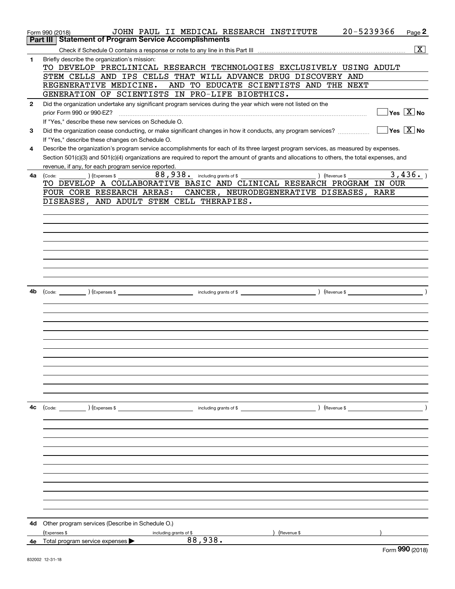|              | 20-5239366<br>JOHN PAUL II MEDICAL RESEARCH INSTITUTE<br>Form 990 (2018)                                                                     | Page 2                                  |
|--------------|----------------------------------------------------------------------------------------------------------------------------------------------|-----------------------------------------|
|              | <b>Statement of Program Service Accomplishments</b><br>Part III I                                                                            |                                         |
|              |                                                                                                                                              | $\overline{\mathbf{x}}$                 |
| 1            | Briefly describe the organization's mission:                                                                                                 |                                         |
|              | TO DEVELOP PRECLINICAL RESEARCH TECHNOLOGIES EXCLUSIVELY USING ADULT                                                                         |                                         |
|              | STEM CELLS AND IPS CELLS THAT WILL ADVANCE DRUG DISCOVERY AND                                                                                |                                         |
|              | REGENERATIVE MEDICINE.<br>AND TO EDUCATE SCIENTISTS AND THE NEXT                                                                             |                                         |
|              | GENERATION OF SCIENTISTS IN PRO-LIFE BIOETHICS.                                                                                              |                                         |
|              |                                                                                                                                              |                                         |
| $\mathbf{2}$ | Did the organization undertake any significant program services during the year which were not listed on the                                 |                                         |
|              |                                                                                                                                              | $\Box$ Yes $[\overline{\mathrm{X}}]$ No |
|              | If "Yes," describe these new services on Schedule O.                                                                                         |                                         |
| 3            | Did the organization cease conducting, or make significant changes in how it conducts, any program services?                                 | $\Box$ Yes $\Box$ No                    |
|              | If "Yes," describe these changes on Schedule O.                                                                                              |                                         |
| 4            | Describe the organization's program service accomplishments for each of its three largest program services, as measured by expenses.         |                                         |
|              | Section 501(c)(3) and 501(c)(4) organizations are required to report the amount of grants and allocations to others, the total expenses, and |                                         |
|              | revenue, if any, for each program service reported.                                                                                          |                                         |
| 4a           | 88,938. including grants of \$<br>$(Ex)$ (Expenses \$<br>) (Revenue \$<br>(Code:                                                             | 3,436.                                  |
|              | TO DEVELOP A COLLABORATIVE BASIC AND CLINICAL RESEARCH PROGRAM IN OUR                                                                        |                                         |
|              | FOUR CORE RESEARCH AREAS: CANCER, NEURODEGENERATIVE DISEASES, RARE                                                                           |                                         |
|              | DISEASES, AND ADULT STEM CELL THERAPIES.                                                                                                     |                                         |
|              |                                                                                                                                              |                                         |
|              |                                                                                                                                              |                                         |
|              |                                                                                                                                              |                                         |
|              |                                                                                                                                              |                                         |
|              |                                                                                                                                              |                                         |
|              |                                                                                                                                              |                                         |
|              |                                                                                                                                              |                                         |
|              |                                                                                                                                              |                                         |
|              |                                                                                                                                              |                                         |
|              |                                                                                                                                              |                                         |
| 4b           |                                                                                                                                              |                                         |
|              |                                                                                                                                              |                                         |
|              |                                                                                                                                              |                                         |
|              |                                                                                                                                              |                                         |
|              |                                                                                                                                              |                                         |
|              |                                                                                                                                              |                                         |
|              |                                                                                                                                              |                                         |
|              |                                                                                                                                              |                                         |
|              |                                                                                                                                              |                                         |
|              |                                                                                                                                              |                                         |
|              |                                                                                                                                              |                                         |
|              |                                                                                                                                              |                                         |
|              |                                                                                                                                              |                                         |
|              |                                                                                                                                              |                                         |
|              |                                                                                                                                              |                                         |
| 4с           |                                                                                                                                              |                                         |
|              |                                                                                                                                              |                                         |
|              |                                                                                                                                              |                                         |
|              |                                                                                                                                              |                                         |
|              |                                                                                                                                              |                                         |
|              |                                                                                                                                              |                                         |
|              |                                                                                                                                              |                                         |
|              |                                                                                                                                              |                                         |
|              |                                                                                                                                              |                                         |
|              |                                                                                                                                              |                                         |
|              |                                                                                                                                              |                                         |
|              |                                                                                                                                              |                                         |
|              |                                                                                                                                              |                                         |
|              |                                                                                                                                              |                                         |
|              | 4d Other program services (Describe in Schedule O.)                                                                                          |                                         |
|              | (Expenses \$<br>) (Revenue \$<br>including grants of \$                                                                                      |                                         |
|              | 88,938.<br>4e Total program service expenses $\blacktriangleright$                                                                           |                                         |
|              |                                                                                                                                              | $F_{\text{Orm}}$ 990 (2018)             |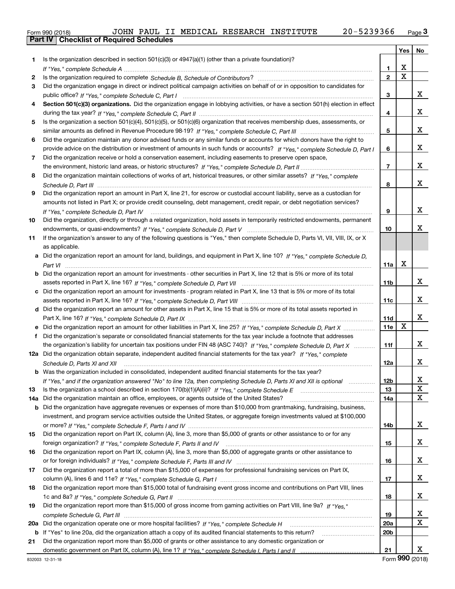|  | Form 990 (2018) |  |
|--|-----------------|--|

|          |                                                                                                                                                    |                 | Yes | No |
|----------|----------------------------------------------------------------------------------------------------------------------------------------------------|-----------------|-----|----|
| 1        | Is the organization described in section $501(c)(3)$ or $4947(a)(1)$ (other than a private foundation)?                                            |                 |     |    |
|          | If "Yes," complete Schedule A measured and the complete schedule A measured and the Schedule A measured and the                                    | 1               | х   |    |
| 2        |                                                                                                                                                    | $\overline{2}$  | X   |    |
| 3        | Did the organization engage in direct or indirect political campaign activities on behalf of or in opposition to candidates for                    |                 |     |    |
|          |                                                                                                                                                    | 3               |     | x  |
| 4        | Section 501(c)(3) organizations. Did the organization engage in lobbying activities, or have a section 501(h) election in effect                   |                 |     |    |
|          |                                                                                                                                                    | 4               |     | x  |
| 5        | Is the organization a section 501(c)(4), 501(c)(5), or 501(c)(6) organization that receives membership dues, assessments, or                       |                 |     |    |
|          |                                                                                                                                                    | 5               |     | x  |
| 6        | Did the organization maintain any donor advised funds or any similar funds or accounts for which donors have the right to                          |                 |     |    |
|          | provide advice on the distribution or investment of amounts in such funds or accounts? If "Yes," complete Schedule D, Part I                       | 6               |     | х  |
| 7        | Did the organization receive or hold a conservation easement, including easements to preserve open space,                                          |                 |     |    |
|          |                                                                                                                                                    | $\overline{7}$  |     | х  |
| 8        | Did the organization maintain collections of works of art, historical treasures, or other similar assets? If "Yes," complete                       |                 |     |    |
|          |                                                                                                                                                    | 8               |     | х  |
| 9        | Did the organization report an amount in Part X, line 21, for escrow or custodial account liability, serve as a custodian for                      |                 |     |    |
|          | amounts not listed in Part X; or provide credit counseling, debt management, credit repair, or debt negotiation services?                          |                 |     |    |
|          | If "Yes." complete Schedule D. Part IV                                                                                                             | 9               |     | х  |
| 10       | Did the organization, directly or through a related organization, hold assets in temporarily restricted endowments, permanent                      |                 |     |    |
|          |                                                                                                                                                    | 10              |     | х  |
| 11       | If the organization's answer to any of the following questions is "Yes," then complete Schedule D, Parts VI, VII, VIII, IX, or X                   |                 |     |    |
|          | as applicable.                                                                                                                                     |                 |     |    |
|          | a Did the organization report an amount for land, buildings, and equipment in Part X, line 10? If "Yes," complete Schedule D.                      |                 |     |    |
|          |                                                                                                                                                    | 11a             | Х   |    |
|          | Did the organization report an amount for investments - other securities in Part X, line 12 that is 5% or more of its total                        |                 |     |    |
|          |                                                                                                                                                    | 11 <sub>b</sub> |     | x  |
|          | c Did the organization report an amount for investments - program related in Part X, line 13 that is 5% or more of its total                       |                 |     |    |
|          |                                                                                                                                                    | 11c             |     | x  |
|          | d Did the organization report an amount for other assets in Part X, line 15 that is 5% or more of its total assets reported in                     |                 |     |    |
|          |                                                                                                                                                    | 11d             | X   | х  |
|          |                                                                                                                                                    | <b>11e</b>      |     |    |
| f        | Did the organization's separate or consolidated financial statements for the tax year include a footnote that addresses                            |                 |     | x  |
|          | the organization's liability for uncertain tax positions under FIN 48 (ASC 740)? If "Yes," complete Schedule D, Part X                             | 11f             |     |    |
|          | 12a Did the organization obtain separate, independent audited financial statements for the tax year? If "Yes," complete                            |                 |     | x  |
|          | Schedule D, Parts XI and XII<br><b>b</b> Was the organization included in consolidated, independent audited financial statements for the tax year? | 12a             |     |    |
|          |                                                                                                                                                    | 12 <sub>b</sub> |     | X  |
| 13       | If "Yes," and if the organization answered "No" to line 12a, then completing Schedule D, Parts XI and XII is optional                              | 13              |     | X  |
|          | Did the organization maintain an office, employees, or agents outside of the United States?                                                        | 14a             |     | X  |
| 14a<br>b | Did the organization have aggregate revenues or expenses of more than \$10,000 from grantmaking, fundraising, business,                            |                 |     |    |
|          | investment, and program service activities outside the United States, or aggregate foreign investments valued at \$100,000                         |                 |     |    |
|          |                                                                                                                                                    | 14b             |     | x  |
| 15       | Did the organization report on Part IX, column (A), line 3, more than \$5,000 of grants or other assistance to or for any                          |                 |     |    |
|          |                                                                                                                                                    | 15              |     | x  |
| 16       | Did the organization report on Part IX, column (A), line 3, more than \$5,000 of aggregate grants or other assistance to                           |                 |     |    |
|          |                                                                                                                                                    | 16              |     | x  |
| 17       | Did the organization report a total of more than \$15,000 of expenses for professional fundraising services on Part IX,                            |                 |     |    |
|          |                                                                                                                                                    | 17              |     | x  |
| 18       | Did the organization report more than \$15,000 total of fundraising event gross income and contributions on Part VIII, lines                       |                 |     |    |
|          |                                                                                                                                                    | 18              |     | x  |
| 19       | Did the organization report more than \$15,000 of gross income from gaming activities on Part VIII, line 9a? If "Yes."                             |                 |     |    |
|          |                                                                                                                                                    | 19              |     | х  |
| 20a      |                                                                                                                                                    | <b>20a</b>      |     | X  |
|          |                                                                                                                                                    | 20 <sub>b</sub> |     |    |
| 21       | Did the organization report more than \$5,000 of grants or other assistance to any domestic organization or                                        |                 |     |    |
|          |                                                                                                                                                    | 21              |     | х  |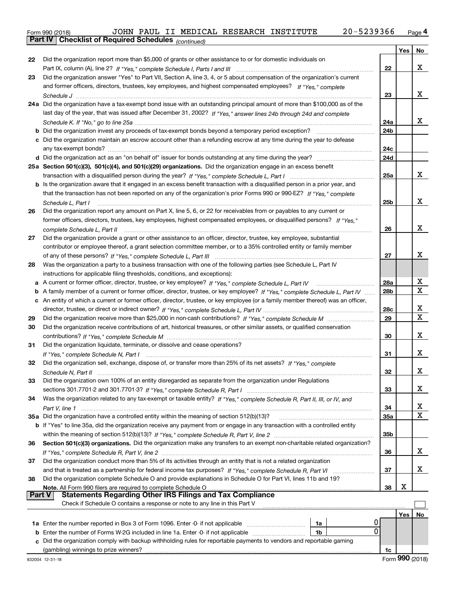|  | Form 990 (2018) |
|--|-----------------|
|  |                 |

*(continued)*

|               |                                                                                                                                   |                 | Yes | No |
|---------------|-----------------------------------------------------------------------------------------------------------------------------------|-----------------|-----|----|
| 22            | Did the organization report more than \$5,000 of grants or other assistance to or for domestic individuals on                     |                 |     |    |
|               |                                                                                                                                   | 22              |     | X  |
| 23            | Did the organization answer "Yes" to Part VII, Section A, line 3, 4, or 5 about compensation of the organization's current        |                 |     |    |
|               | and former officers, directors, trustees, key employees, and highest compensated employees? If "Yes." complete                    |                 |     |    |
|               |                                                                                                                                   | 23              |     | x  |
|               | 24a Did the organization have a tax-exempt bond issue with an outstanding principal amount of more than \$100,000 as of the       |                 |     |    |
|               | last day of the year, that was issued after December 31, 2002? If "Yes," answer lines 24b through 24d and complete                |                 |     |    |
|               |                                                                                                                                   | 24a             |     | x  |
|               |                                                                                                                                   | 24b             |     |    |
|               | c Did the organization maintain an escrow account other than a refunding escrow at any time during the year to defease            |                 |     |    |
|               |                                                                                                                                   | 24c             |     |    |
|               | d Did the organization act as an "on behalf of" issuer for bonds outstanding at any time during the year?                         | 24d             |     |    |
|               | 25a Section 501(c)(3), 501(c)(4), and 501(c)(29) organizations. Did the organization engage in an excess benefit                  |                 |     |    |
|               |                                                                                                                                   | 25a             |     | x  |
|               | b Is the organization aware that it engaged in an excess benefit transaction with a disqualified person in a prior year, and      |                 |     |    |
|               | that the transaction has not been reported on any of the organization's prior Forms 990 or 990-EZ? If "Yes." complete             |                 |     |    |
|               | Schedule L, Part I                                                                                                                | 25b             |     | X  |
| 26            | Did the organization report any amount on Part X, line 5, 6, or 22 for receivables from or payables to any current or             |                 |     |    |
|               | former officers, directors, trustees, key employees, highest compensated employees, or disqualified persons? If "Yes."            |                 |     |    |
|               |                                                                                                                                   | 26              |     | X  |
| 27            | Did the organization provide a grant or other assistance to an officer, director, trustee, key employee, substantial              |                 |     |    |
|               | contributor or employee thereof, a grant selection committee member, or to a 35% controlled entity or family member               |                 |     |    |
|               |                                                                                                                                   | 27              |     | x  |
| 28            | Was the organization a party to a business transaction with one of the following parties (see Schedule L, Part IV                 |                 |     |    |
|               | instructions for applicable filing thresholds, conditions, and exceptions):                                                       |                 |     |    |
| a             |                                                                                                                                   | 28a             |     | х  |
| b             | A family member of a current or former officer, director, trustee, or key employee? If "Yes," complete Schedule L, Part IV        | 28 <sub>b</sub> |     | x  |
|               | c An entity of which a current or former officer, director, trustee, or key employee (or a family member thereof) was an officer, |                 |     |    |
|               |                                                                                                                                   | 28c             |     | х  |
| 29            |                                                                                                                                   | 29              |     | X  |
| 30            | Did the organization receive contributions of art, historical treasures, or other similar assets, or qualified conservation       |                 |     |    |
|               |                                                                                                                                   | 30              |     | x  |
| 31            | Did the organization liquidate, terminate, or dissolve and cease operations?                                                      |                 |     |    |
|               |                                                                                                                                   | 31              |     | x  |
| 32            | Did the organization sell, exchange, dispose of, or transfer more than 25% of its net assets? If "Yes." complete                  |                 |     |    |
|               |                                                                                                                                   | 32              |     | x  |
| 33            | Did the organization own 100% of an entity disregarded as separate from the organization under Regulations                        |                 |     |    |
|               |                                                                                                                                   | 33              |     | x  |
| 34            | Was the organization related to any tax-exempt or taxable entity? If "Yes," complete Schedule R, Part II, III, or IV, and         |                 |     |    |
|               |                                                                                                                                   | 34              |     | х  |
|               | 35a Did the organization have a controlled entity within the meaning of section 512(b)(13)?                                       | 35a             |     | х  |
|               | b If "Yes" to line 35a, did the organization receive any payment from or engage in any transaction with a controlled entity       |                 |     |    |
|               |                                                                                                                                   | 35b             |     |    |
| 36            | Section 501(c)(3) organizations. Did the organization make any transfers to an exempt non-charitable related organization?        |                 |     |    |
|               |                                                                                                                                   | 36              |     | x  |
| 37            | Did the organization conduct more than 5% of its activities through an entity that is not a related organization                  |                 |     |    |
|               |                                                                                                                                   | 37              |     | х  |
| 38            | Did the organization complete Schedule O and provide explanations in Schedule O for Part VI, lines 11b and 19?                    | 38              | х   |    |
| <b>Part V</b> |                                                                                                                                   |                 |     |    |
|               | Check if Schedule O contains a response or note to any line in this Part V                                                        |                 |     |    |
|               |                                                                                                                                   |                 | Yes | No |
|               | 0<br>1a                                                                                                                           |                 |     |    |
| b             | 0<br>Enter the number of Forms W-2G included in line 1a. Enter -0- if not applicable<br>1b                                        |                 |     |    |
|               | Did the organization comply with backup withholding rules for reportable payments to vendors and reportable gaming                |                 |     |    |
|               | (gambling) winnings to prize winners?                                                                                             | 1c              |     |    |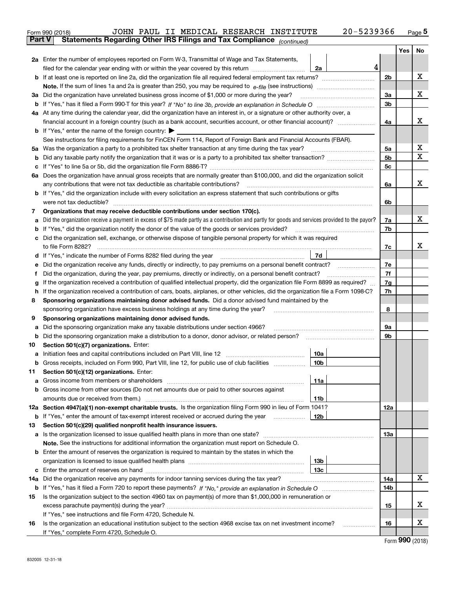|               | JOHN PAUL II MEDICAL RESEARCH INSTITUTE<br>Form 990 (2018)                                                                                                                                                                           | 20-5239366 |                |     | $_{\text{Page}}$ 5 |
|---------------|--------------------------------------------------------------------------------------------------------------------------------------------------------------------------------------------------------------------------------------|------------|----------------|-----|--------------------|
| <b>Part V</b> | Statements Regarding Other IRS Filings and Tax Compliance (continued)                                                                                                                                                                |            |                |     |                    |
|               |                                                                                                                                                                                                                                      |            |                | Yes | No                 |
|               | 2a Enter the number of employees reported on Form W-3, Transmittal of Wage and Tax Statements,                                                                                                                                       |            |                |     |                    |
|               | filed for the calendar year ending with or within the year covered by this return<br>2a                                                                                                                                              | 4          |                |     |                    |
|               |                                                                                                                                                                                                                                      |            | 2 <sub>b</sub> |     | х                  |
|               |                                                                                                                                                                                                                                      |            |                |     |                    |
| За            | Did the organization have unrelated business gross income of \$1,000 or more during the year?                                                                                                                                        |            | 3a             |     | x                  |
|               |                                                                                                                                                                                                                                      |            | 3 <sub>b</sub> |     |                    |
|               | 4a At any time during the calendar year, did the organization have an interest in, or a signature or other authority over, a                                                                                                         |            |                |     |                    |
|               |                                                                                                                                                                                                                                      |            | 4a             |     | x                  |
|               | <b>b</b> If "Yes," enter the name of the foreign country: $\blacktriangleright$                                                                                                                                                      |            |                |     |                    |
|               | See instructions for filing requirements for FinCEN Form 114, Report of Foreign Bank and Financial Accounts (FBAR).                                                                                                                  |            |                |     |                    |
| 5a            | Was the organization a party to a prohibited tax shelter transaction at any time during the tax year?                                                                                                                                |            | 5a             |     | x                  |
| b             |                                                                                                                                                                                                                                      |            | 5 <sub>b</sub> |     | х                  |
| с             |                                                                                                                                                                                                                                      |            | 5c             |     |                    |
|               | 6a Does the organization have annual gross receipts that are normally greater than \$100,000, and did the organization solicit                                                                                                       |            |                |     |                    |
|               | any contributions that were not tax deductible as charitable contributions?                                                                                                                                                          |            | 6a             |     | x                  |
|               | <b>b</b> If "Yes," did the organization include with every solicitation an express statement that such contributions or gifts                                                                                                        |            |                |     |                    |
|               |                                                                                                                                                                                                                                      |            | 6b             |     |                    |
| 7             | Organizations that may receive deductible contributions under section 170(c).                                                                                                                                                        |            |                |     |                    |
| а             | Did the organization receive a payment in excess of \$75 made partly as a contribution and partly for goods and services provided to the payor?                                                                                      |            | 7a             |     | x                  |
| b             | If "Yes," did the organization notify the donor of the value of the goods or services provided?                                                                                                                                      |            | 7b             |     |                    |
| с             | Did the organization sell, exchange, or otherwise dispose of tangible personal property for which it was required                                                                                                                    |            |                |     |                    |
|               |                                                                                                                                                                                                                                      |            | 7c             |     | x                  |
|               | 7d<br>d If "Yes," indicate the number of Forms 8282 filed during the year [11] [11] The System manuscription of Forms 8282 filed during the year [11] [11] The System manuscription of the Wales of the Wales of the Wales of the Wa |            |                |     |                    |
| е             |                                                                                                                                                                                                                                      |            | 7e             |     |                    |
| f             | Did the organization, during the year, pay premiums, directly or indirectly, on a personal benefit contract?                                                                                                                         |            | 7f             |     |                    |
| g             | If the organization received a contribution of qualified intellectual property, did the organization file Form 8899 as required?                                                                                                     |            | 7g             |     |                    |
| h             | If the organization received a contribution of cars, boats, airplanes, or other vehicles, did the organization file a Form 1098-C?                                                                                                   |            | 7h             |     |                    |
| 8             | Sponsoring organizations maintaining donor advised funds. Did a donor advised fund maintained by the                                                                                                                                 |            |                |     |                    |
|               | sponsoring organization have excess business holdings at any time during the year?                                                                                                                                                   |            | 8              |     |                    |
| 9             | Sponsoring organizations maintaining donor advised funds.                                                                                                                                                                            |            |                |     |                    |
| а             | Did the sponsoring organization make any taxable distributions under section 4966?                                                                                                                                                   |            | 9а             |     |                    |
| b             | Did the sponsoring organization make a distribution to a donor, donor advisor, or related person?                                                                                                                                    |            | 9b             |     |                    |
| 10            | Section 501(c)(7) organizations. Enter:                                                                                                                                                                                              |            |                |     |                    |
| а             | 10a<br>Initiation fees and capital contributions included on Part VIII, line 12 [111] [11] [11] [12] [11] [11] [12] [                                                                                                                |            |                |     |                    |
|               | 10b <br>Gross receipts, included on Form 990, Part VIII, line 12, for public use of club facilities                                                                                                                                  |            |                |     |                    |
| 11            | Section 501(c)(12) organizations. Enter:                                                                                                                                                                                             |            |                |     |                    |
| a             | 11a<br>Gross income from members or shareholders                                                                                                                                                                                     |            |                |     |                    |
| b             | Gross income from other sources (Do not net amounts due or paid to other sources against                                                                                                                                             |            |                |     |                    |
|               | 11 <sub>b</sub>                                                                                                                                                                                                                      |            |                |     |                    |
|               | 12a Section 4947(a)(1) non-exempt charitable trusts. Is the organization filing Form 990 in lieu of Form 1041?                                                                                                                       |            | 12a            |     |                    |
|               | 12b<br><b>b</b> If "Yes," enter the amount of tax-exempt interest received or accrued during the year <i>manument</i>                                                                                                                |            |                |     |                    |
| 13            | Section 501(c)(29) qualified nonprofit health insurance issuers.                                                                                                                                                                     |            |                |     |                    |
|               | a Is the organization licensed to issue qualified health plans in more than one state?                                                                                                                                               |            | 13a            |     |                    |
|               | Note. See the instructions for additional information the organization must report on Schedule O.                                                                                                                                    |            |                |     |                    |
|               | <b>b</b> Enter the amount of reserves the organization is required to maintain by the states in which the                                                                                                                            |            |                |     |                    |
|               | 13 <sub>b</sub>                                                                                                                                                                                                                      |            |                |     |                    |
| с             | 13 <sub>c</sub>                                                                                                                                                                                                                      |            |                |     |                    |
| 14a           | Did the organization receive any payments for indoor tanning services during the tax year?                                                                                                                                           |            | 14a            |     | x                  |
|               |                                                                                                                                                                                                                                      |            | 14b            |     |                    |
| 15            | Is the organization subject to the section 4960 tax on payment(s) of more than \$1,000,000 in remuneration or                                                                                                                        |            |                |     |                    |
|               |                                                                                                                                                                                                                                      |            | 15             |     | x                  |
|               | If "Yes," see instructions and file Form 4720, Schedule N.                                                                                                                                                                           |            |                |     |                    |
| 16            | Is the organization an educational institution subject to the section 4968 excise tax on net investment income?                                                                                                                      |            | 16             |     | х                  |
|               | If "Yes," complete Form 4720, Schedule O.                                                                                                                                                                                            |            |                |     |                    |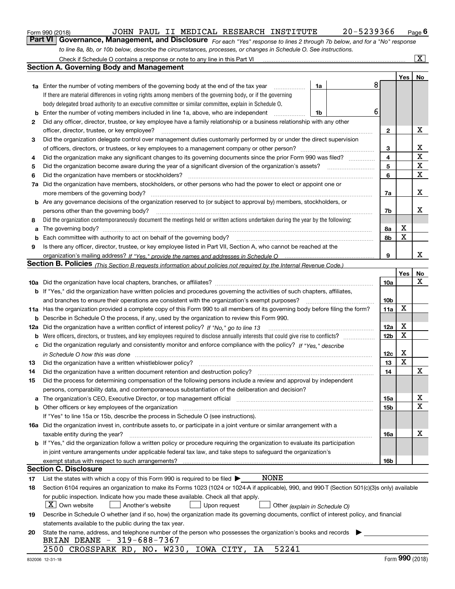|  | Form 990 (2018) |
|--|-----------------|
|  |                 |

JOHN PAUL II MEDICAL RESEARCH INSTITUTE 20-5239366

*For each "Yes" response to lines 2 through 7b below, and for a "No" response to line 8a, 8b, or 10b below, describe the circumstances, processes, or changes in Schedule O. See instructions.* Form 990 (2018) JOHN PAUL II MEDICAL RESEARCH INSTITUTE 20-5239366 <sub>Page</sub> 6<br>**Part VI Governance, Management, and Disclosure** *For each "Yes" response to lines 2 through 7b below, and fo* 

|    | Check if Schedule O contains a response or note to any line in this Part VI                                                                                           |    |   |                 |     | $\overline{\mathbf{X}}$ $\overline{\mathbf{X}}$ |
|----|-----------------------------------------------------------------------------------------------------------------------------------------------------------------------|----|---|-----------------|-----|-------------------------------------------------|
|    | Section A. Governing Body and Management                                                                                                                              |    |   |                 |     |                                                 |
|    |                                                                                                                                                                       |    |   |                 | Yes | No                                              |
|    | 1a Enter the number of voting members of the governing body at the end of the tax year                                                                                | 1a | 8 |                 |     |                                                 |
|    | If there are material differences in voting rights among members of the governing body, or if the governing                                                           |    |   |                 |     |                                                 |
|    | body delegated broad authority to an executive committee or similar committee, explain in Schedule O.                                                                 |    |   |                 |     |                                                 |
| b  | Enter the number of voting members included in line 1a, above, who are independent                                                                                    | 1b | 6 |                 |     |                                                 |
| 2  | Did any officer, director, trustee, or key employee have a family relationship or a business relationship with any other                                              |    |   |                 |     |                                                 |
|    | officer, director, trustee, or key employee?                                                                                                                          | .  |   | 2               |     | х                                               |
| 3  | Did the organization delegate control over management duties customarily performed by or under the direct supervision                                                 |    |   |                 |     |                                                 |
|    |                                                                                                                                                                       |    |   | 3               |     | х                                               |
| 4  | Did the organization make any significant changes to its governing documents since the prior Form 990 was filed?                                                      |    |   | 4               |     | $\mathbf X$                                     |
| 5  |                                                                                                                                                                       |    |   | 5               |     | X                                               |
| 6  | Did the organization have members or stockholders?                                                                                                                    |    |   | 6               |     | $\mathbf X$                                     |
| 7a | Did the organization have members, stockholders, or other persons who had the power to elect or appoint one or                                                        |    |   |                 |     |                                                 |
|    | more members of the governing body?                                                                                                                                   |    |   | 7a              |     | х                                               |
|    | <b>b</b> Are any governance decisions of the organization reserved to (or subject to approval by) members, stockholders, or                                           |    |   |                 |     |                                                 |
|    | persons other than the governing body?                                                                                                                                |    |   | 7b              |     | х                                               |
| 8  | Did the organization contemporaneously document the meetings held or written actions undertaken during the year by the following:                                     |    |   |                 |     |                                                 |
| a  |                                                                                                                                                                       |    |   | 8a              | Х   |                                                 |
| b  |                                                                                                                                                                       |    |   | 8b              | X   |                                                 |
| 9  | Is there any officer, director, trustee, or key employee listed in Part VII, Section A, who cannot be reached at the                                                  |    |   |                 |     |                                                 |
|    |                                                                                                                                                                       |    |   | 9               |     | x                                               |
|    | <b>Section B. Policies</b> (This Section B requests information about policies not required by the Internal Revenue Code.)                                            |    |   |                 |     |                                                 |
|    |                                                                                                                                                                       |    |   |                 | Yes | No                                              |
|    |                                                                                                                                                                       |    |   | 10a             |     | x                                               |
|    | <b>b</b> If "Yes," did the organization have written policies and procedures governing the activities of such chapters, affiliates,                                   |    |   |                 |     |                                                 |
|    | and branches to ensure their operations are consistent with the organization's exempt purposes?                                                                       |    |   | 10 <sub>b</sub> |     |                                                 |
|    | 11a Has the organization provided a complete copy of this Form 990 to all members of its governing body before filing the form?                                       |    |   | 11a             | X   |                                                 |
| b  | Describe in Schedule O the process, if any, used by the organization to review this Form 990.                                                                         |    |   |                 |     |                                                 |
|    | 12a Did the organization have a written conflict of interest policy? If "No," go to line 13                                                                           |    |   | 12a             | х   |                                                 |
| b  |                                                                                                                                                                       |    |   | 12 <sub>b</sub> | X   |                                                 |
| c  | Did the organization regularly and consistently monitor and enforce compliance with the policy? If "Yes." describe                                                    |    |   |                 |     |                                                 |
|    | in Schedule O how this was done measured and contain an account of the state of the state of the state of the                                                         |    |   | 12c             | х   |                                                 |
| 13 | Did the organization have a written whistleblower policy?                                                                                                             |    |   | 13              | X   |                                                 |
| 14 | Did the organization have a written document retention and destruction policy?                                                                                        |    |   | 14              |     | X                                               |
| 15 | Did the process for determining compensation of the following persons include a review and approval by independent                                                    |    |   |                 |     |                                                 |
|    | persons, comparability data, and contemporaneous substantiation of the deliberation and decision?                                                                     |    |   |                 |     |                                                 |
| a  | The organization's CEO, Executive Director, or top management official manufactured content of the organization's CEO, Executive Director, or top management official |    |   | 15a             |     | х                                               |
|    | <b>b</b> Other officers or key employees of the organization                                                                                                          |    |   | 15b             |     | Χ                                               |
|    | If "Yes" to line 15a or 15b, describe the process in Schedule O (see instructions).                                                                                   |    |   |                 |     |                                                 |
|    | 16a Did the organization invest in, contribute assets to, or participate in a joint venture or similar arrangement with a                                             |    |   |                 |     |                                                 |
|    | taxable entity during the year?                                                                                                                                       |    |   | 16a             |     | х                                               |
|    | b If "Yes," did the organization follow a written policy or procedure requiring the organization to evaluate its participation                                        |    |   |                 |     |                                                 |
|    | in joint venture arrangements under applicable federal tax law, and take steps to safequard the organization's                                                        |    |   |                 |     |                                                 |
|    | exempt status with respect to such arrangements?                                                                                                                      |    |   | 16b             |     |                                                 |
|    | <b>Section C. Disclosure</b>                                                                                                                                          |    |   |                 |     |                                                 |
| 17 | NONE<br>List the states with which a copy of this Form 990 is required to be filed $\blacktriangleright$                                                              |    |   |                 |     |                                                 |
| 18 | Section 6104 requires an organization to make its Forms 1023 (1024 or 1024-A if applicable), 990, and 990-T (Section 501(c)(3)s only) available                       |    |   |                 |     |                                                 |
|    | for public inspection. Indicate how you made these available. Check all that apply.                                                                                   |    |   |                 |     |                                                 |
|    | $X$ Own website<br>Another's website<br>Upon request<br>Other (explain in Schedule O)                                                                                 |    |   |                 |     |                                                 |
| 19 | Describe in Schedule O whether (and if so, how) the organization made its governing documents, conflict of interest policy, and financial                             |    |   |                 |     |                                                 |
|    | statements available to the public during the tax year.                                                                                                               |    |   |                 |     |                                                 |
| 20 | State the name, address, and telephone number of the person who possesses the organization's books and records                                                        |    |   |                 |     |                                                 |
|    | BRIAN DEANE - 319-688-7367                                                                                                                                            |    |   |                 |     |                                                 |
|    | 52241<br>2500 CROSSPARK RD, NO. W230, IOWA CITY,<br>IA                                                                                                                |    |   |                 |     |                                                 |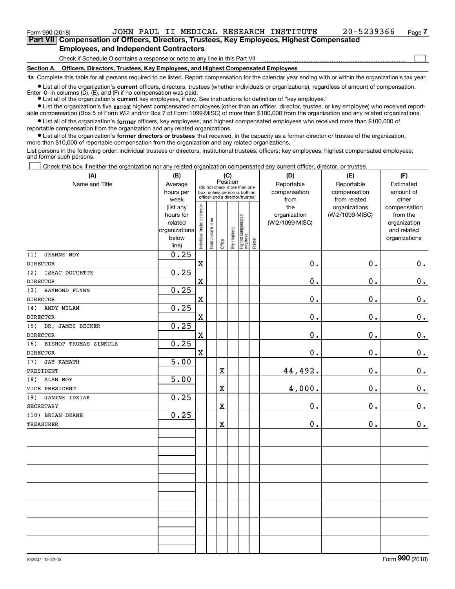| Form 990 (2018)                               |                                                                                            |  |  |                                                                              |  | JOHN PAUL II MEDICAL RESEARCH INSTITUTE | 20-5239366 | Page / |
|-----------------------------------------------|--------------------------------------------------------------------------------------------|--|--|------------------------------------------------------------------------------|--|-----------------------------------------|------------|--------|
|                                               | Part VII Compensation of Officers, Directors, Trustees, Key Employees, Highest Compensated |  |  |                                                                              |  |                                         |            |        |
| <b>Employees, and Independent Contractors</b> |                                                                                            |  |  |                                                                              |  |                                         |            |        |
|                                               |                                                                                            |  |  | Check if Schedule O contains a response or note to any line in this Part VII |  |                                         |            |        |

Check if Schedule O contains a response or note to any line in this Part VII

**Section A. Officers, Directors, Trustees, Key Employees, and Highest Compensated Employees**

**1a**  Complete this table for all persons required to be listed. Report compensation for the calendar year ending with or within the organization's tax year.

**•** List all of the organization's current officers, directors, trustees (whether individuals or organizations), regardless of amount of compensation. Enter -0- in columns  $(D)$ ,  $(E)$ , and  $(F)$  if no compensation was paid.

● List all of the organization's **current** key employees, if any. See instructions for definition of "key employee."

**•** List the organization's five current highest compensated employees (other than an officer, director, trustee, or key employee) who received reportable compensation (Box 5 of Form W-2 and/or Box 7 of Form 1099-MISC) of more than \$100,000 from the organization and any related organizations.

 $\bullet$  List all of the organization's **former** officers, key employees, and highest compensated employees who received more than \$100,000 of reportable compensation from the organization and any related organizations.

**•** List all of the organization's former directors or trustees that received, in the capacity as a former director or trustee of the organization, more than \$10,000 of reportable compensation from the organization and any related organizations.

List persons in the following order: individual trustees or directors; institutional trustees; officers; key employees; highest compensated employees; and former such persons.

Check this box if neither the organization nor any related organization compensated any current officer, director, or trustee.  $\mathcal{L}^{\text{max}}$ 

| (A)                          | (B)               |                                |                                                                          |                         | (C)          |                                           |           | (D)                  | (E)                          | (F)                |
|------------------------------|-------------------|--------------------------------|--------------------------------------------------------------------------|-------------------------|--------------|-------------------------------------------|-----------|----------------------|------------------------------|--------------------|
| Name and Title               | Average           |                                | Position<br>(do not check more than one<br>box, unless person is both an |                         | Reportable   | Reportable                                | Estimated |                      |                              |                    |
|                              | hours per<br>week |                                | officer and a director/trustee)                                          |                         |              |                                           |           | compensation<br>from | compensation<br>from related | amount of<br>other |
|                              | (list any         |                                |                                                                          |                         |              |                                           |           | the                  | organizations                | compensation       |
|                              | hours for         |                                |                                                                          |                         |              |                                           |           | organization         | (W-2/1099-MISC)              | from the           |
|                              | related           |                                |                                                                          |                         |              |                                           |           | (W-2/1099-MISC)      |                              | organization       |
|                              | organizations     |                                |                                                                          |                         |              |                                           |           |                      |                              | and related        |
|                              | below             | Individual trustee or director | nstitutional trustee                                                     |                         | Key employee |                                           |           |                      |                              | organizations      |
|                              | line)             |                                |                                                                          | Officer                 |              | Highest compensated<br>employee<br>Former |           |                      |                              |                    |
| (1)<br><b>JEANNE MOY</b>     | 0.25              |                                |                                                                          |                         |              |                                           |           |                      |                              |                    |
| <b>DIRECTOR</b>              |                   | $\rm X$                        |                                                                          |                         |              |                                           |           | 0.                   | 0.                           | $0_{.}$            |
| ISAAC DOUCETTE<br>(2)        | 0.25              |                                |                                                                          |                         |              |                                           |           |                      |                              |                    |
| <b>DIRECTOR</b>              |                   | $\mathbf X$                    |                                                                          |                         |              |                                           |           | 0.                   | 0.                           | $\mathbf 0$ .      |
| (3)<br>RAYMOND FLYNN         | 0.25              |                                |                                                                          |                         |              |                                           |           |                      |                              |                    |
| <b>DIRECTOR</b>              |                   | $\mathbf X$                    |                                                                          |                         |              |                                           |           | 0.                   | 0.                           | $\mathbf 0$ .      |
| ANDY MILAM<br>(4)            | 0.25              |                                |                                                                          |                         |              |                                           |           |                      |                              |                    |
| <b>DIRECTOR</b>              |                   | $\mathbf X$                    |                                                                          |                         |              |                                           |           | 0.                   | 0.                           | $0_{.}$            |
| (5)<br>DR. JAMES BECKER      | 0.25              |                                |                                                                          |                         |              |                                           |           |                      |                              |                    |
| <b>DIRECTOR</b>              |                   | $\mathbf x$                    |                                                                          |                         |              |                                           |           | 0.                   | 0.                           | $0_{.}$            |
| (6)<br>BISHOP THOMAS ZINKULA | 0.25              |                                |                                                                          |                         |              |                                           |           |                      |                              |                    |
| <b>DIRECTOR</b>              |                   | $\rm X$                        |                                                                          |                         |              |                                           |           | 0.                   | 0.                           | $0_{.}$            |
| (7)<br><b>JAY KAMATH</b>     | 5.00              |                                |                                                                          |                         |              |                                           |           |                      |                              |                    |
| PRESIDENT                    |                   |                                |                                                                          | X                       |              |                                           |           | 44,492.              | 0.                           | $\mathbf 0$ .      |
| ALAN MOY<br>(8)              | 5.00              |                                |                                                                          |                         |              |                                           |           |                      |                              |                    |
| VICE PRESIDENT               |                   |                                |                                                                          | X                       |              |                                           |           | 4,000.               | 0.                           | $0_{.}$            |
| (9)<br><b>JANINE IDZIAK</b>  | 0.25              |                                |                                                                          |                         |              |                                           |           |                      |                              |                    |
| <b>SECRETARY</b>             |                   |                                |                                                                          | $\overline{\textbf{X}}$ |              |                                           |           | 0.                   | 0.                           | 0.                 |
| (10) BRIAN DEANE             | 0.25              |                                |                                                                          |                         |              |                                           |           |                      |                              |                    |
| <b>TREASURER</b>             |                   |                                |                                                                          | X                       |              |                                           |           | $0$ .                | 0.                           | 0.                 |
|                              |                   |                                |                                                                          |                         |              |                                           |           |                      |                              |                    |
|                              |                   |                                |                                                                          |                         |              |                                           |           |                      |                              |                    |
|                              |                   |                                |                                                                          |                         |              |                                           |           |                      |                              |                    |
|                              |                   |                                |                                                                          |                         |              |                                           |           |                      |                              |                    |
|                              |                   |                                |                                                                          |                         |              |                                           |           |                      |                              |                    |
|                              |                   |                                |                                                                          |                         |              |                                           |           |                      |                              |                    |
|                              |                   |                                |                                                                          |                         |              |                                           |           |                      |                              |                    |
|                              |                   |                                |                                                                          |                         |              |                                           |           |                      |                              |                    |
|                              |                   |                                |                                                                          |                         |              |                                           |           |                      |                              |                    |
|                              |                   |                                |                                                                          |                         |              |                                           |           |                      |                              |                    |
|                              |                   |                                |                                                                          |                         |              |                                           |           |                      |                              |                    |
|                              |                   |                                |                                                                          |                         |              |                                           |           |                      |                              |                    |
|                              |                   |                                |                                                                          |                         |              |                                           |           |                      |                              |                    |
|                              |                   |                                |                                                                          |                         |              |                                           |           |                      |                              |                    |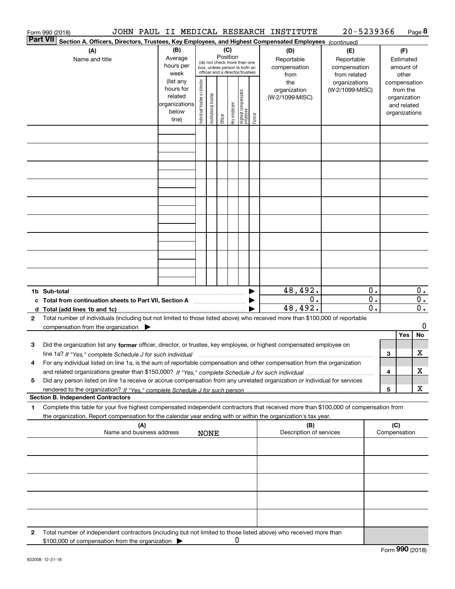|              | Form 990 (2018)                                                                                                                                                                                                                                                             |                                                                      |                                                                                                                    |                       |         |              |                                   |                                           | JOHN PAUL II MEDICAL RESEARCH INSTITUTE           | 20-5239366                       |                                        |     |                                                                          | Page 8      |
|--------------|-----------------------------------------------------------------------------------------------------------------------------------------------------------------------------------------------------------------------------------------------------------------------------|----------------------------------------------------------------------|--------------------------------------------------------------------------------------------------------------------|-----------------------|---------|--------------|-----------------------------------|-------------------------------------------|---------------------------------------------------|----------------------------------|----------------------------------------|-----|--------------------------------------------------------------------------|-------------|
|              | <b>Part VII</b><br>Section A. Officers, Directors, Trustees, Key Employees, and Highest Compensated Employees (continued)                                                                                                                                                   |                                                                      |                                                                                                                    |                       |         |              |                                   |                                           |                                                   |                                  |                                        |     |                                                                          |             |
|              | (A)<br>Name and title                                                                                                                                                                                                                                                       | (B)<br>Average<br>hours per<br>week                                  | (C)<br>Position<br>(do not check more than one<br>box, unless person is both an<br>officer and a director/trustee) |                       |         |              |                                   | (D)<br>Reportable<br>compensation<br>from | (E)<br>Reportable<br>compensation<br>from related |                                  | (F)<br>Estimated<br>amount of<br>other |     |                                                                          |             |
|              |                                                                                                                                                                                                                                                                             | (list any<br>hours for<br>related<br>organizations<br>below<br>line) | Individual trustee or director                                                                                     | Institutional trustee | Officer | Key employee | Highest compensated<br>  employee | Former                                    | the<br>organization<br>(W-2/1099-MISC)            | organizations<br>(W-2/1099-MISC) |                                        |     | compensation<br>from the<br>organization<br>and related<br>organizations |             |
|              |                                                                                                                                                                                                                                                                             |                                                                      |                                                                                                                    |                       |         |              |                                   |                                           |                                                   |                                  |                                        |     |                                                                          |             |
|              |                                                                                                                                                                                                                                                                             |                                                                      |                                                                                                                    |                       |         |              |                                   |                                           |                                                   |                                  |                                        |     |                                                                          |             |
|              |                                                                                                                                                                                                                                                                             |                                                                      |                                                                                                                    |                       |         |              |                                   |                                           |                                                   |                                  |                                        |     |                                                                          |             |
|              |                                                                                                                                                                                                                                                                             |                                                                      |                                                                                                                    |                       |         |              |                                   |                                           |                                                   |                                  |                                        |     |                                                                          |             |
|              |                                                                                                                                                                                                                                                                             |                                                                      |                                                                                                                    |                       |         |              |                                   |                                           |                                                   |                                  |                                        |     |                                                                          |             |
|              |                                                                                                                                                                                                                                                                             |                                                                      |                                                                                                                    |                       |         |              |                                   |                                           |                                                   |                                  |                                        |     |                                                                          |             |
|              |                                                                                                                                                                                                                                                                             |                                                                      |                                                                                                                    |                       |         |              |                                   |                                           |                                                   |                                  |                                        |     |                                                                          |             |
|              |                                                                                                                                                                                                                                                                             |                                                                      |                                                                                                                    |                       |         |              |                                   |                                           |                                                   |                                  |                                        |     |                                                                          |             |
|              |                                                                                                                                                                                                                                                                             |                                                                      |                                                                                                                    |                       |         |              |                                   |                                           |                                                   |                                  |                                        |     |                                                                          |             |
|              |                                                                                                                                                                                                                                                                             |                                                                      |                                                                                                                    |                       |         |              |                                   |                                           | 48,492.                                           |                                  | 0.                                     |     |                                                                          | 0.          |
|              | c Total from continuation sheets to Part VII, Section A manufactured by                                                                                                                                                                                                     |                                                                      |                                                                                                                    |                       |         |              |                                   |                                           | 0.<br>48,492.                                     |                                  | $\overline{0}$ .<br>0.                 |     |                                                                          | 0.<br>$0$ . |
| $\mathbf{2}$ | Total number of individuals (including but not limited to those listed above) who received more than \$100,000 of reportable                                                                                                                                                |                                                                      |                                                                                                                    |                       |         |              |                                   |                                           |                                                   |                                  |                                        |     |                                                                          | 0           |
|              | compensation from the organization $\blacktriangleright$                                                                                                                                                                                                                    |                                                                      |                                                                                                                    |                       |         |              |                                   |                                           |                                                   |                                  |                                        |     | Yes                                                                      | No          |
| 3            | Did the organization list any former officer, director, or trustee, key employee, or highest compensated employee on                                                                                                                                                        |                                                                      |                                                                                                                    |                       |         |              |                                   |                                           |                                                   |                                  |                                        | 3   |                                                                          | х           |
|              | line 1a? If "Yes," complete Schedule J for such individual manufactured contained and the 1a? If "Yes," complete Schedule J for such individual<br>For any individual listed on line 1a, is the sum of reportable compensation and other compensation from the organization |                                                                      |                                                                                                                    |                       |         |              |                                   |                                           |                                                   |                                  |                                        | 4   |                                                                          | x           |
| 5            | Did any person listed on line 1a receive or accrue compensation from any unrelated organization or individual for services                                                                                                                                                  |                                                                      |                                                                                                                    |                       |         |              |                                   |                                           |                                                   |                                  |                                        |     |                                                                          | х           |
|              | <b>Section B. Independent Contractors</b>                                                                                                                                                                                                                                   |                                                                      |                                                                                                                    |                       |         |              |                                   |                                           |                                                   |                                  |                                        | 5   |                                                                          |             |
| 1            | Complete this table for your five highest compensated independent contractors that received more than \$100,000 of compensation from                                                                                                                                        |                                                                      |                                                                                                                    |                       |         |              |                                   |                                           |                                                   |                                  |                                        |     |                                                                          |             |
|              | the organization. Report compensation for the calendar year ending with or within the organization's tax year.<br>(A)<br>Name and business address                                                                                                                          |                                                                      |                                                                                                                    | <b>NONE</b>           |         |              |                                   |                                           | (B)<br>Description of services                    |                                  |                                        | (C) | Compensation                                                             |             |
|              |                                                                                                                                                                                                                                                                             |                                                                      |                                                                                                                    |                       |         |              |                                   |                                           |                                                   |                                  |                                        |     |                                                                          |             |
|              |                                                                                                                                                                                                                                                                             |                                                                      |                                                                                                                    |                       |         |              |                                   |                                           |                                                   |                                  |                                        |     |                                                                          |             |
|              |                                                                                                                                                                                                                                                                             |                                                                      |                                                                                                                    |                       |         |              |                                   |                                           |                                                   |                                  |                                        |     |                                                                          |             |
|              |                                                                                                                                                                                                                                                                             |                                                                      |                                                                                                                    |                       |         |              |                                   |                                           |                                                   |                                  |                                        |     |                                                                          |             |
|              |                                                                                                                                                                                                                                                                             |                                                                      |                                                                                                                    |                       |         |              |                                   |                                           |                                                   |                                  |                                        |     |                                                                          |             |
| 2            | Total number of independent contractors (including but not limited to those listed above) who received more than<br>\$100,000 of compensation from the organization                                                                                                         |                                                                      |                                                                                                                    |                       |         | 0            |                                   |                                           |                                                   |                                  |                                        |     |                                                                          |             |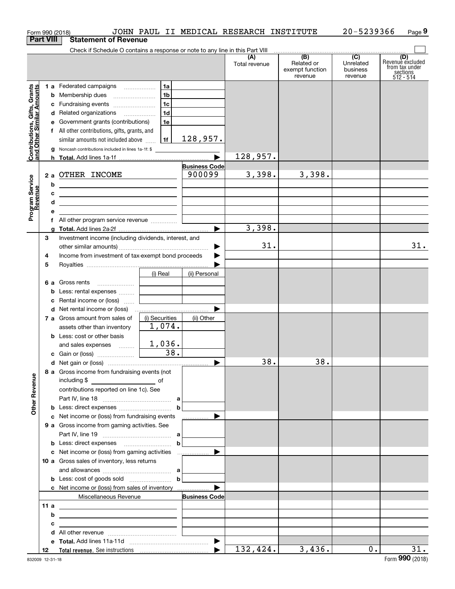|                                                           | Form 990 (2018)  |                                                                                                                                                                                                                                                                                                                                                                  |                                               |                                | JOHN PAUL II MEDICAL RESEARCH INSTITUTE |                                                 | 20-5239366                                           | Page 9                                                             |
|-----------------------------------------------------------|------------------|------------------------------------------------------------------------------------------------------------------------------------------------------------------------------------------------------------------------------------------------------------------------------------------------------------------------------------------------------------------|-----------------------------------------------|--------------------------------|-----------------------------------------|-------------------------------------------------|------------------------------------------------------|--------------------------------------------------------------------|
|                                                           | <b>Part VIII</b> | <b>Statement of Revenue</b>                                                                                                                                                                                                                                                                                                                                      |                                               |                                |                                         |                                                 |                                                      |                                                                    |
|                                                           |                  | Check if Schedule O contains a response or note to any line in this Part VIII                                                                                                                                                                                                                                                                                    |                                               |                                | (A)<br>Total revenue                    | (B)<br>Related or<br>exempt function<br>revenue | $\overline{(C)}$<br>Unrelated<br>business<br>revenue | (D)<br>Revenue excluded<br>from tax under<br>sections<br>512 - 514 |
| Contributions, Gifts, Grants<br>and Other Similar Amounts | g                | 1 a Federated campaigns<br>c Fundraising events<br>d Related organizations<br>e Government grants (contributions)<br>f All other contributions, gifts, grants, and<br>similar amounts not included above<br>Noncash contributions included in lines 1a-1f: \$                                                                                                    | 1a<br>1 <sub>b</sub><br>1c<br>1d<br>1e<br> 1f | 128,957.                       | 128,957.                                |                                                 |                                                      |                                                                    |
| Program Service<br>Revenue                                | b<br>c<br>d<br>е | 2 a OTHER INCOME<br><u> 1989 - Johann Barn, mars eta bainar eta baina eta baina eta baina eta baina eta baina eta baina eta baina e</u><br><u> 1989 - Johann John Stein, fransk politik (d. 1989)</u><br><u> 1989 - Johann John Stein, fransk politik (f. 1989)</u><br>the control of the control of the control of the control of the control of the control of |                                               | <b>Business Code</b><br>900099 | 3,398.                                  | 3,398.                                          |                                                      |                                                                    |
|                                                           | a<br>З           | f All other program service revenue<br>Investment income (including dividends, interest, and                                                                                                                                                                                                                                                                     |                                               |                                | 3,398.<br>31.                           |                                                 |                                                      | 31.                                                                |
|                                                           | 4<br>5           | Income from investment of tax-exempt bond proceeds                                                                                                                                                                                                                                                                                                               | (i) Real                                      | (ii) Personal                  |                                         |                                                 |                                                      |                                                                    |
|                                                           | b<br>c           | <b>6 a</b> Gross rents<br>Less: rental expenses<br>Rental income or (loss)                                                                                                                                                                                                                                                                                       |                                               |                                |                                         |                                                 |                                                      |                                                                    |
|                                                           |                  | 7 a Gross amount from sales of<br>assets other than inventory<br><b>b</b> Less: cost or other basis                                                                                                                                                                                                                                                              | (i) Securities<br>1,074.                      | (ii) Other                     |                                         |                                                 |                                                      |                                                                    |
|                                                           |                  | and sales expenses<br>c Gain or (loss)                                                                                                                                                                                                                                                                                                                           | 1,036.<br>38.                                 |                                | 38.                                     | 38.                                             |                                                      |                                                                    |
| <b>Other Revenue</b>                                      |                  | 8 a Gross income from fundraising events (not<br>contributions reported on line 1c). See                                                                                                                                                                                                                                                                         |                                               |                                |                                         |                                                 |                                                      |                                                                    |
|                                                           |                  | c Net income or (loss) from fundraising events<br><b>9 a</b> Gross income from gaming activities. See                                                                                                                                                                                                                                                            | $\mathbf b$<br>$\mathbf b$                    | .                              |                                         |                                                 |                                                      |                                                                    |
|                                                           |                  | 10 a Gross sales of inventory, less returns                                                                                                                                                                                                                                                                                                                      | $\mathbf b$                                   |                                |                                         |                                                 |                                                      |                                                                    |
|                                                           |                  | <b>c</b> Net income or (loss) from sales of inventory<br>Miscellaneous Revenue                                                                                                                                                                                                                                                                                   |                                               | ▶<br><b>Business Code</b>      |                                         |                                                 |                                                      |                                                                    |
|                                                           | 11 a<br>b<br>с   | <u> 1989 - Johann Barn, fransk politik (d. 1989)</u><br><u> 1980 - Johann Barn, mars ann an Catharin ann an t-Aonaichte ann an t-Aonaichte ann an t-Aonaichte ann an t-Ao</u><br><u> 1989 - Johann Stein, fransk politik (d. 1989)</u>                                                                                                                           |                                               |                                |                                         |                                                 |                                                      |                                                                    |
|                                                           | 12               |                                                                                                                                                                                                                                                                                                                                                                  |                                               |                                | 132,424.                                | 3,436.                                          | $0$ .                                                | 31.                                                                |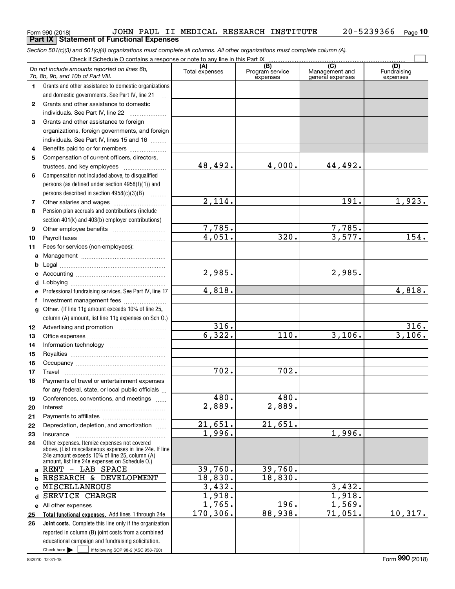#### **(A)**<br>Total expenses **(C)** (C) (C)<br>
penses Program service Management and Fundrai<br>
expenses general expenses expen **123** Grants and other assistance to foreign **4567891011abcdefg12131415161718192021222324a**RENT - LAB SPACE **b**Grants and other assistance to domestic organizations and domestic governments. See Part IV, line 21 Compensation not included above, to disqualified persons (as defined under section 4958(f)(1)) and persons described in section 4958(c)(3)(B)  $\quad \ldots \ldots \ldots$ Pension plan accruals and contributions (include section 401(k) and 403(b) employer contributions) Professional fundraising services. See Part IV, line 17 Other. (If line 11g amount exceeds 10% of line 25, column (A) amount, list line 11g expenses on Sch O.) Other expenses. Itemize expenses not covered above. (List miscellaneous expenses in line 24e. If line 24e amount exceeds 10% of line 25, column (A) amount, list line 24e expenses on Schedule O.) Program service expensesexpensesGrants and other assistance to domestic individuals. See Part IV, line 22 ~~~~~~~ organizations, foreign governments, and foreign individuals. See Part IV, lines 15 and 16  $\ldots$ Benefits paid to or for members .................... Compensation of current officers, directors, trustees, and key employees  $\ldots$   $\ldots$   $\ldots$   $\ldots$   $\ldots$   $\ldots$ Other salaries and wages ~~~~~~~~~~ Other employee benefits ~~~~~~~~~~ Payroll taxes ~~~~~~~~~~~~~~~~ Fees for services (non-employees): Management ~~~~~~~~~~~~~~~~ Legal ~~~~~~~~~~~~~~~~~~~~Accounting ~~~~~~~~~~~~~~~~~ Lobbying ~~~~~~~~~~~~~~~~~~lnvestment management fees ....................... Advertising and promotion www.communication Office expenses ~~~~~~~~~~~~~~~Information technology ~~~~~~~~~~~ Royalties ~~~~~~~~~~~~~~~~~~ Occupancy ~~~~~~~~~~~~~~~~~ Travel ……………………………………………… Payments of travel or entertainment expenses for any federal, state, or local public officials ... Conferences, conventions, and meetings InterestPayments to affiliates ~~~~~~~~~~~~ Depreciation, depletion, and amortization  $\,\,\ldots\,\,$ Insurance*7b, 8b, 9b, and 10b of Part VIII.* 48,492. 2,114. 7,785. 4,051. 2,985. 4,818. 316. 6,322. 702. 480. 2,889.  $21,651.$ 1,996. 39,760. 18,830. 4,000. 44,492. 191. 1,923. 7,785.  $320.$  3,577. 154. 2,985. 4,818. 316. 110. 3,106. 3,106. 702. 480. 2,889. 21,651. 1,996. 39,760. 18,830. RESEARCH & DEVELOPMENT

**Total functional expenses.**  Add lines 1 through 24e **Joint costs.** Complete this line only if the organization **c**MISCELLANEOUS **d** SERVICE CHARGE **e** All other expenses **2526**reported in column (B) joint costs from a combined educational campaign and fundraising solicitation. 3,432. 1,918. 1,765. 170,306. 196. 1,569. 88,938. 71,051. 10,317.

Check here  $\begin{array}{|c|c|c|c|c|}\hline \text{ } & \text{ if following SOP 98-2 (ASC 958-720)} \hline \end{array}$ 

3,432. 1,918. Fundraising

 $\mathcal{L}^{\text{max}}$ 

#### Form 990 (2018) JOHN PAUL II MEDICAL RESEARCH INSTITUTE 20-5239366 <sub>Page</sub> 20-5239366 <sub>Page</sub> 10 **Part IX Statement of Functional Expenses**

*Section 501(c)(3) and 501(c)(4) organizations must complete all columns. All other organizations must complete column (A).* Check if Schedule O contains a response or note to any line in this Part IX (C) (C) (C) (C) (C) (C)

*Do not include amounts reported on lines 6b,*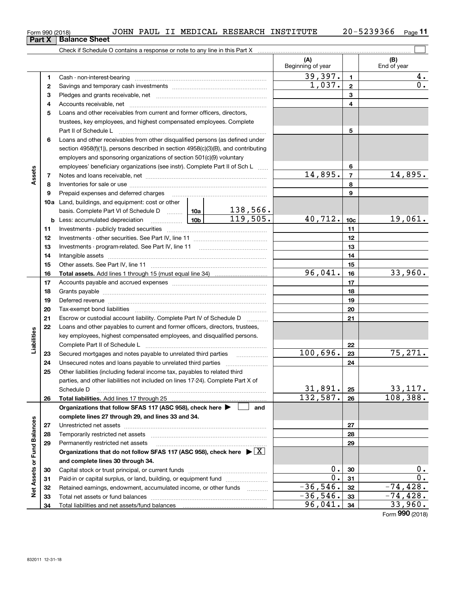| <b>t X</b>   Balance Sheet              |
|-----------------------------------------|
| Check if Schedule O contains a response |
|                                         |

| Balance Sheet                                                              |                          |                    |
|----------------------------------------------------------------------------|--------------------------|--------------------|
| Check if Schedule O contains a response or note to any line in this Part X |                          |                    |
|                                                                            | <b>Beginning of year</b> | <b>End of vear</b> |

 $\overline{\Box}$ 

|                             |    | Crieck if Scriedule O contains a response or note to any line in this Part $\lambda$                                                                                                                                           |          |                          |                 |                    |
|-----------------------------|----|--------------------------------------------------------------------------------------------------------------------------------------------------------------------------------------------------------------------------------|----------|--------------------------|-----------------|--------------------|
|                             |    |                                                                                                                                                                                                                                |          | (A)<br>Beginning of year |                 | (B)<br>End of year |
|                             | 1  | Cash - non-interest-bearing                                                                                                                                                                                                    |          | 39,397.                  | $\mathbf{1}$    | 4.                 |
|                             | 2  |                                                                                                                                                                                                                                |          | 1,037.                   | $\mathbf{2}$    | О.                 |
|                             | з  |                                                                                                                                                                                                                                |          |                          | 3               |                    |
|                             | 4  |                                                                                                                                                                                                                                |          |                          | 4               |                    |
|                             | 5  | Loans and other receivables from current and former officers, directors,                                                                                                                                                       |          |                          |                 |                    |
|                             |    | trustees, key employees, and highest compensated employees. Complete                                                                                                                                                           |          |                          |                 |                    |
|                             |    | Part II of Schedule L                                                                                                                                                                                                          |          |                          | 5               |                    |
|                             | 6  | Loans and other receivables from other disqualified persons (as defined under                                                                                                                                                  |          |                          |                 |                    |
|                             |    | section $4958(f)(1)$ , persons described in section $4958(c)(3)(B)$ , and contributing                                                                                                                                         |          |                          |                 |                    |
|                             |    | employers and sponsoring organizations of section 501(c)(9) voluntary                                                                                                                                                          |          |                          |                 |                    |
|                             |    | employees' beneficiary organizations (see instr). Complete Part II of Sch L                                                                                                                                                    |          |                          | 6               |                    |
| Assets                      | 7  |                                                                                                                                                                                                                                |          | 14,895.                  | $\overline{7}$  | 14,895.            |
|                             | 8  |                                                                                                                                                                                                                                |          |                          | 8               |                    |
|                             | 9  |                                                                                                                                                                                                                                |          |                          | 9               |                    |
|                             |    | 10a Land, buildings, and equipment: cost or other                                                                                                                                                                              |          |                          |                 |                    |
|                             |    | basis. Complete Part VI of Schedule D  10a                                                                                                                                                                                     | 138,566. |                          |                 |                    |
|                             |    |                                                                                                                                                                                                                                | 119,505. | 40,712.                  | 10 <sub>c</sub> | 19,061.            |
|                             | 11 |                                                                                                                                                                                                                                |          |                          | 11              |                    |
|                             | 12 |                                                                                                                                                                                                                                |          |                          | 12              |                    |
|                             | 13 |                                                                                                                                                                                                                                |          |                          | 13              |                    |
|                             | 14 |                                                                                                                                                                                                                                |          |                          | 14              |                    |
|                             | 15 |                                                                                                                                                                                                                                |          |                          | 15              |                    |
|                             | 16 |                                                                                                                                                                                                                                |          | 96,041.                  | 16              | 33,960.            |
|                             | 17 |                                                                                                                                                                                                                                |          |                          | 17              |                    |
|                             | 18 |                                                                                                                                                                                                                                |          |                          | 18              |                    |
|                             | 19 |                                                                                                                                                                                                                                |          |                          | 19              |                    |
|                             | 20 | Deferred revenue material contracts and a contract of the contract of the contract of the contract of the contract of the contract of the contract of the contract of the contract of the contract of the contract of the cont |          |                          | 20              |                    |
|                             | 21 | Escrow or custodial account liability. Complete Part IV of Schedule D                                                                                                                                                          |          |                          | 21              |                    |
|                             | 22 | Loans and other payables to current and former officers, directors, trustees,                                                                                                                                                  | .        |                          |                 |                    |
| Liabilities                 |    | key employees, highest compensated employees, and disqualified persons.                                                                                                                                                        |          |                          |                 |                    |
|                             |    | Complete Part II of Schedule L                                                                                                                                                                                                 |          |                          | 22              |                    |
|                             | 23 |                                                                                                                                                                                                                                |          | 100,696.                 | 23              | 75, 271.           |
|                             | 24 |                                                                                                                                                                                                                                |          |                          | 24              |                    |
|                             | 25 | Other liabilities (including federal income tax, payables to related third                                                                                                                                                     |          |                          |                 |                    |
|                             |    | parties, and other liabilities not included on lines 17-24). Complete Part X of                                                                                                                                                |          |                          |                 |                    |
|                             |    | Schedule D                                                                                                                                                                                                                     |          | 31,891.                  | 25              | 33, 117.           |
|                             | 26 |                                                                                                                                                                                                                                |          | 132, 587.                | 26              | 108,388.           |
|                             |    | Organizations that follow SFAS 117 (ASC 958), check here $\blacktriangleright$                                                                                                                                                 | and      |                          |                 |                    |
|                             |    | complete lines 27 through 29, and lines 33 and 34.                                                                                                                                                                             |          |                          |                 |                    |
|                             | 27 |                                                                                                                                                                                                                                |          |                          | 27              |                    |
|                             | 28 |                                                                                                                                                                                                                                |          |                          | 28              |                    |
|                             | 29 | Permanently restricted net assets                                                                                                                                                                                              |          |                          | 29              |                    |
|                             |    | Organizations that do not follow SFAS 117 (ASC 958), check here $\triangleright \lfloor X \rfloor$                                                                                                                             |          |                          |                 |                    |
|                             |    | and complete lines 30 through 34.                                                                                                                                                                                              |          |                          |                 |                    |
|                             | 30 |                                                                                                                                                                                                                                |          | 0.                       | 30              | 0.                 |
|                             | 31 | Paid-in or capital surplus, or land, building, or equipment fund                                                                                                                                                               |          | $0$ .                    | 31              | $0$ .              |
| Net Assets or Fund Balances | 32 | Retained earnings, endowment, accumulated income, or other funds                                                                                                                                                               |          | $-36,546.$               | 32              | $-74, 428.$        |
|                             | 33 |                                                                                                                                                                                                                                |          | $-36,546.$               | 33              | $-74, 428.$        |
|                             | 34 |                                                                                                                                                                                                                                |          | 96,041.                  | 34              | 33,960.            |
|                             |    |                                                                                                                                                                                                                                |          |                          |                 |                    |

Form (2018) **990**

**Part**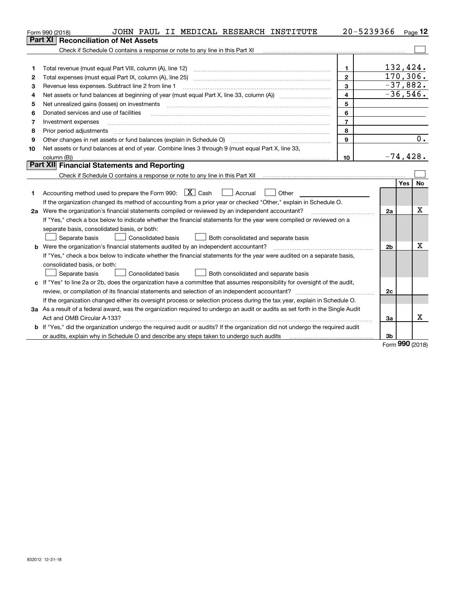|    | JOHN PAUL II MEDICAL RESEARCH INSTITUTE<br>Form 990 (2018)                                                                      |                         | 20-5239366 | Page 12                 |
|----|---------------------------------------------------------------------------------------------------------------------------------|-------------------------|------------|-------------------------|
|    | <b>Reconciliation of Net Assets</b><br>Part XI I                                                                                |                         |            |                         |
|    | Check if Schedule O contains a response or note to any line in this Part XI                                                     |                         |            |                         |
|    |                                                                                                                                 |                         |            |                         |
| 1  | Total revenue (must equal Part VIII, column (A), line 12)                                                                       | $\mathbf{1}$            |            | 132,424.                |
| 2  |                                                                                                                                 | $\mathbf{2}$            |            | 170, 306.               |
| з  | Revenue less expenses. Subtract line 2 from line 1                                                                              | 3                       |            | $-37,882.$              |
| 4  |                                                                                                                                 | $\overline{\mathbf{4}}$ |            | $-36,546.$              |
| 5  | Net unrealized gains (losses) on investments                                                                                    | 5                       |            |                         |
| 6  | Donated services and use of facilities                                                                                          | 6                       |            |                         |
| 7  | Investment expenses                                                                                                             | $\overline{7}$          |            |                         |
| 8  | Prior period adjustments                                                                                                        | 8                       |            |                         |
| 9  |                                                                                                                                 | 9                       |            | 0.                      |
| 10 | Net assets or fund balances at end of year. Combine lines 3 through 9 (must equal Part X, line 33,                              |                         |            |                         |
|    | column (B))                                                                                                                     | 10                      |            | $-74,428.$              |
|    | Part XII Financial Statements and Reporting                                                                                     |                         |            |                         |
|    |                                                                                                                                 |                         |            |                         |
|    |                                                                                                                                 |                         |            | <b>Yes</b><br><b>No</b> |
| 1  | Accounting method used to prepare the Form 990: $\boxed{X}$ Cash<br>$\vert$ Accrual<br>Other                                    |                         |            |                         |
|    | If the organization changed its method of accounting from a prior year or checked "Other," explain in Schedule O.               |                         |            |                         |
|    | 2a Were the organization's financial statements compiled or reviewed by an independent accountant?                              |                         | 2a         | x                       |
|    | If "Yes," check a box below to indicate whether the financial statements for the year were compiled or reviewed on a            |                         |            |                         |
|    | separate basis, consolidated basis, or both:                                                                                    |                         |            |                         |
|    | Separate basis<br><b>Consolidated basis</b><br>Both consolidated and separate basis                                             |                         |            |                         |
|    | <b>b</b> Were the organization's financial statements audited by an independent accountant?                                     |                         | 2b         | X                       |
|    | If "Yes," check a box below to indicate whether the financial statements for the year were audited on a separate basis,         |                         |            |                         |
|    | consolidated basis, or both:                                                                                                    |                         |            |                         |
|    | Consolidated basis<br>Separate basis<br>Both consolidated and separate basis                                                    |                         |            |                         |
| c  | If "Yes" to line 2a or 2b, does the organization have a committee that assumes responsibility for oversight of the audit,       |                         |            |                         |
|    |                                                                                                                                 |                         | 2c         |                         |
|    | If the organization changed either its oversight process or selection process during the tax year, explain in Schedule O.       |                         |            |                         |
|    | 3a As a result of a federal award, was the organization required to undergo an audit or audits as set forth in the Single Audit |                         |            |                         |
|    |                                                                                                                                 |                         | 3a         | x                       |
|    | b If "Yes," did the organization undergo the required audit or audits? If the organization did not undergo the required audit   |                         |            |                         |
|    | or audits, explain why in Schedule O and describe any steps taken to undergo such audits                                        |                         | 3b         |                         |

Form (2018) **990**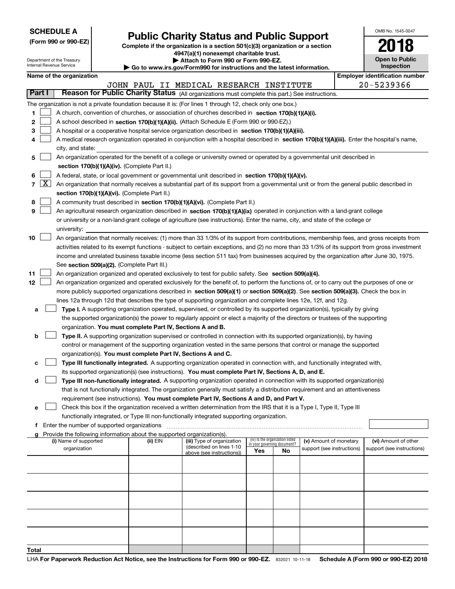| <b>SCHEDULE A</b> |  |
|-------------------|--|
|-------------------|--|

Department of the Treasury

|  |  |  | (Form 990 or 990-EZ) |
|--|--|--|----------------------|
|--|--|--|----------------------|

# **Public Charity Status and Public Support**

**Complete if the organization is a section 501(c)(3) organization or a section 4947(a)(1) nonexempt charitable trust. | Attach to Form 990 or Form 990-EZ.** 

| Go to www.irs.gov/Form990 for instructions and the latest information. |  |  |
|------------------------------------------------------------------------|--|--|

| OMB No. 1545-0047                   |
|-------------------------------------|
| 2018                                |
| <b>Open to Public</b><br>Inspection |

|                          | Internal Revenue Service<br>Inspection<br>Go to www.irs.gov/Form990 for instructions and the latest information. |                                                                                                 |                                             |                                                                        |                                                                                                                                                                                                                                 |                             |                                 |                            |                                       |
|--------------------------|------------------------------------------------------------------------------------------------------------------|-------------------------------------------------------------------------------------------------|---------------------------------------------|------------------------------------------------------------------------|---------------------------------------------------------------------------------------------------------------------------------------------------------------------------------------------------------------------------------|-----------------------------|---------------------------------|----------------------------|---------------------------------------|
| Name of the organization |                                                                                                                  |                                                                                                 |                                             |                                                                        |                                                                                                                                                                                                                                 |                             |                                 |                            | <b>Employer identification number</b> |
|                          |                                                                                                                  | 20-5239366<br>JOHN PAUL II MEDICAL RESEARCH INSTITUTE                                           |                                             |                                                                        |                                                                                                                                                                                                                                 |                             |                                 |                            |                                       |
|                          | Part I                                                                                                           | Reason for Public Charity Status (All organizations must complete this part.) See instructions. |                                             |                                                                        |                                                                                                                                                                                                                                 |                             |                                 |                            |                                       |
|                          |                                                                                                                  |                                                                                                 |                                             |                                                                        | The organization is not a private foundation because it is: (For lines 1 through 12, check only one box.)                                                                                                                       |                             |                                 |                            |                                       |
| 1                        |                                                                                                                  |                                                                                                 |                                             |                                                                        | A church, convention of churches, or association of churches described in section 170(b)(1)(A)(i).                                                                                                                              |                             |                                 |                            |                                       |
| 2                        |                                                                                                                  |                                                                                                 |                                             |                                                                        | A school described in section 170(b)(1)(A)(ii). (Attach Schedule E (Form 990 or 990-EZ).)                                                                                                                                       |                             |                                 |                            |                                       |
| з                        |                                                                                                                  |                                                                                                 |                                             |                                                                        | A hospital or a cooperative hospital service organization described in section 170(b)(1)(A)(iii).                                                                                                                               |                             |                                 |                            |                                       |
| 4                        |                                                                                                                  |                                                                                                 |                                             |                                                                        | A medical research organization operated in conjunction with a hospital described in section 170(b)(1)(A)(iii). Enter the hospital's name,                                                                                      |                             |                                 |                            |                                       |
|                          |                                                                                                                  | city, and state:                                                                                |                                             |                                                                        |                                                                                                                                                                                                                                 |                             |                                 |                            |                                       |
| 5                        |                                                                                                                  |                                                                                                 |                                             |                                                                        | An organization operated for the benefit of a college or university owned or operated by a governmental unit described in                                                                                                       |                             |                                 |                            |                                       |
|                          |                                                                                                                  |                                                                                                 |                                             | section 170(b)(1)(A)(iv). (Complete Part II.)                          |                                                                                                                                                                                                                                 |                             |                                 |                            |                                       |
| 6                        |                                                                                                                  |                                                                                                 |                                             |                                                                        | A federal, state, or local government or governmental unit described in section 170(b)(1)(A)(v).                                                                                                                                |                             |                                 |                            |                                       |
| 7                        | $\boxed{\text{X}}$                                                                                               |                                                                                                 |                                             |                                                                        | An organization that normally receives a substantial part of its support from a governmental unit or from the general public described in                                                                                       |                             |                                 |                            |                                       |
|                          |                                                                                                                  |                                                                                                 |                                             | section 170(b)(1)(A)(vi). (Complete Part II.)                          |                                                                                                                                                                                                                                 |                             |                                 |                            |                                       |
| 8                        |                                                                                                                  |                                                                                                 |                                             |                                                                        | A community trust described in section 170(b)(1)(A)(vi). (Complete Part II.)                                                                                                                                                    |                             |                                 |                            |                                       |
| 9                        |                                                                                                                  |                                                                                                 |                                             |                                                                        | An agricultural research organization described in section 170(b)(1)(A)(ix) operated in conjunction with a land-grant college                                                                                                   |                             |                                 |                            |                                       |
|                          |                                                                                                                  |                                                                                                 |                                             |                                                                        | or university or a non-land-grant college of agriculture (see instructions). Enter the name, city, and state of the college or                                                                                                  |                             |                                 |                            |                                       |
|                          |                                                                                                                  | university:                                                                                     |                                             |                                                                        |                                                                                                                                                                                                                                 |                             |                                 |                            |                                       |
| 10                       |                                                                                                                  |                                                                                                 |                                             |                                                                        | An organization that normally receives: (1) more than 33 1/3% of its support from contributions, membership fees, and gross receipts from                                                                                       |                             |                                 |                            |                                       |
|                          |                                                                                                                  |                                                                                                 |                                             |                                                                        | activities related to its exempt functions - subject to certain exceptions, and (2) no more than 33 1/3% of its support from gross investment                                                                                   |                             |                                 |                            |                                       |
|                          |                                                                                                                  |                                                                                                 |                                             |                                                                        | income and unrelated business taxable income (less section 511 tax) from businesses acquired by the organization after June 30, 1975.                                                                                           |                             |                                 |                            |                                       |
|                          |                                                                                                                  |                                                                                                 |                                             | See section 509(a)(2). (Complete Part III.)                            |                                                                                                                                                                                                                                 |                             |                                 |                            |                                       |
| 11                       |                                                                                                                  |                                                                                                 |                                             |                                                                        | An organization organized and operated exclusively to test for public safety. See section 509(a)(4).                                                                                                                            |                             |                                 |                            |                                       |
| 12                       |                                                                                                                  |                                                                                                 |                                             |                                                                        | An organization organized and operated exclusively for the benefit of, to perform the functions of, or to carry out the purposes of one or                                                                                      |                             |                                 |                            |                                       |
|                          |                                                                                                                  |                                                                                                 |                                             |                                                                        | more publicly supported organizations described in section 509(a)(1) or section 509(a)(2). See section 509(a)(3). Check the box in                                                                                              |                             |                                 |                            |                                       |
|                          |                                                                                                                  |                                                                                                 |                                             |                                                                        | lines 12a through 12d that describes the type of supporting organization and complete lines 12e, 12f, and 12g.                                                                                                                  |                             |                                 |                            |                                       |
| а                        |                                                                                                                  |                                                                                                 |                                             |                                                                        | Type I. A supporting organization operated, supervised, or controlled by its supported organization(s), typically by giving                                                                                                     |                             |                                 |                            |                                       |
|                          |                                                                                                                  |                                                                                                 |                                             |                                                                        | the supported organization(s) the power to regularly appoint or elect a majority of the directors or trustees of the supporting                                                                                                 |                             |                                 |                            |                                       |
|                          |                                                                                                                  |                                                                                                 |                                             | organization. You must complete Part IV, Sections A and B.             |                                                                                                                                                                                                                                 |                             |                                 |                            |                                       |
| b                        |                                                                                                                  |                                                                                                 |                                             |                                                                        | Type II. A supporting organization supervised or controlled in connection with its supported organization(s), by having                                                                                                         |                             |                                 |                            |                                       |
|                          |                                                                                                                  |                                                                                                 |                                             |                                                                        | control or management of the supporting organization vested in the same persons that control or manage the supported                                                                                                            |                             |                                 |                            |                                       |
|                          |                                                                                                                  |                                                                                                 |                                             | organization(s). You must complete Part IV, Sections A and C.          |                                                                                                                                                                                                                                 |                             |                                 |                            |                                       |
| c                        |                                                                                                                  |                                                                                                 |                                             |                                                                        | Type III functionally integrated. A supporting organization operated in connection with, and functionally integrated with,                                                                                                      |                             |                                 |                            |                                       |
| d                        |                                                                                                                  |                                                                                                 |                                             |                                                                        | its supported organization(s) (see instructions). You must complete Part IV, Sections A, D, and E.<br>Type III non-functionally integrated. A supporting organization operated in connection with its supported organization(s) |                             |                                 |                            |                                       |
|                          |                                                                                                                  |                                                                                                 |                                             |                                                                        | that is not functionally integrated. The organization generally must satisfy a distribution requirement and an attentiveness                                                                                                    |                             |                                 |                            |                                       |
|                          |                                                                                                                  |                                                                                                 |                                             |                                                                        | requirement (see instructions). <b>You must complete Part IV, Sections A and D, and Part V.</b>                                                                                                                                 |                             |                                 |                            |                                       |
| е                        |                                                                                                                  |                                                                                                 |                                             |                                                                        | Check this box if the organization received a written determination from the IRS that it is a Type I, Type II, Type III                                                                                                         |                             |                                 |                            |                                       |
|                          |                                                                                                                  |                                                                                                 |                                             |                                                                        | functionally integrated, or Type III non-functionally integrated supporting organization.                                                                                                                                       |                             |                                 |                            |                                       |
| f                        |                                                                                                                  |                                                                                                 | Enter the number of supported organizations |                                                                        |                                                                                                                                                                                                                                 |                             |                                 |                            |                                       |
|                          |                                                                                                                  |                                                                                                 |                                             | Provide the following information about the supported organization(s). |                                                                                                                                                                                                                                 |                             |                                 |                            |                                       |
|                          |                                                                                                                  | (i) Name of supported                                                                           |                                             | (ii) EIN                                                               | (iii) Type of organization                                                                                                                                                                                                      | in your governing document? | (iv) Is the organization listed | (v) Amount of monetary     | (vi) Amount of other                  |
|                          |                                                                                                                  | organization                                                                                    |                                             |                                                                        | (described on lines 1-10<br>above (see instructions))                                                                                                                                                                           | Yes                         | No                              | support (see instructions) | support (see instructions)            |
|                          |                                                                                                                  |                                                                                                 |                                             |                                                                        |                                                                                                                                                                                                                                 |                             |                                 |                            |                                       |
|                          |                                                                                                                  |                                                                                                 |                                             |                                                                        |                                                                                                                                                                                                                                 |                             |                                 |                            |                                       |
|                          |                                                                                                                  |                                                                                                 |                                             |                                                                        |                                                                                                                                                                                                                                 |                             |                                 |                            |                                       |
|                          |                                                                                                                  |                                                                                                 |                                             |                                                                        |                                                                                                                                                                                                                                 |                             |                                 |                            |                                       |
|                          |                                                                                                                  |                                                                                                 |                                             |                                                                        |                                                                                                                                                                                                                                 |                             |                                 |                            |                                       |
|                          |                                                                                                                  |                                                                                                 |                                             |                                                                        |                                                                                                                                                                                                                                 |                             |                                 |                            |                                       |
|                          |                                                                                                                  |                                                                                                 |                                             |                                                                        |                                                                                                                                                                                                                                 |                             |                                 |                            |                                       |
|                          |                                                                                                                  |                                                                                                 |                                             |                                                                        |                                                                                                                                                                                                                                 |                             |                                 |                            |                                       |
|                          |                                                                                                                  |                                                                                                 |                                             |                                                                        |                                                                                                                                                                                                                                 |                             |                                 |                            |                                       |
|                          |                                                                                                                  |                                                                                                 |                                             |                                                                        |                                                                                                                                                                                                                                 |                             |                                 |                            |                                       |
| Total                    |                                                                                                                  |                                                                                                 |                                             |                                                                        |                                                                                                                                                                                                                                 |                             |                                 |                            |                                       |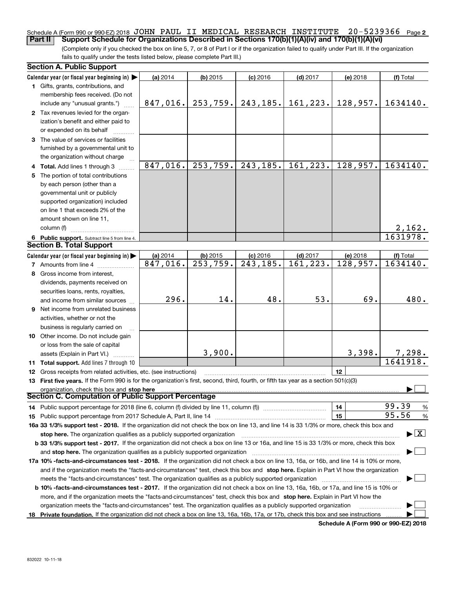### Schedule A (Form 990 or 990-EZ) 2018 JOHN PAUL II MEDICAL RESEARCH INSTITUTE 20-5239366 <sub>Page</sub> 2 **Part II Support Schedule for Organizations Described in Sections 170(b)(1)(A)(iv) and 170(b)(1)(A)(vi)**

(Complete only if you checked the box on line 5, 7, or 8 of Part I or if the organization failed to qualify under Part III. If the organization fails to qualify under the tests listed below, please complete Part III.)

| <b>Section A. Public Support</b>                                                                                                               |          |                        |                       |            |          |                                          |
|------------------------------------------------------------------------------------------------------------------------------------------------|----------|------------------------|-----------------------|------------|----------|------------------------------------------|
| Calendar year (or fiscal year beginning in) $\blacktriangleright$                                                                              | (a) 2014 | $(b)$ 2015             | $(c)$ 2016            | $(d)$ 2017 | (e) 2018 | (f) Total                                |
| 1 Gifts, grants, contributions, and                                                                                                            |          |                        |                       |            |          |                                          |
| membership fees received. (Do not                                                                                                              |          |                        |                       |            |          |                                          |
| include any "unusual grants.")                                                                                                                 | 847,016. | 253, 759.              | 243, 185.             | 161, 223.  | 128,957. | 1634140.                                 |
| 2 Tax revenues levied for the organ-                                                                                                           |          |                        |                       |            |          |                                          |
| ization's benefit and either paid to                                                                                                           |          |                        |                       |            |          |                                          |
| or expended on its behalf                                                                                                                      |          |                        |                       |            |          |                                          |
| 3 The value of services or facilities                                                                                                          |          |                        |                       |            |          |                                          |
| furnished by a governmental unit to                                                                                                            |          |                        |                       |            |          |                                          |
| the organization without charge                                                                                                                |          |                        |                       |            |          |                                          |
| 4 Total. Add lines 1 through 3                                                                                                                 | 847,016. | 253,759.               | 243, 185.             | 161, 223.  | 128,957. | 1634140.                                 |
| 5 The portion of total contributions                                                                                                           |          |                        |                       |            |          |                                          |
| by each person (other than a                                                                                                                   |          |                        |                       |            |          |                                          |
| governmental unit or publicly                                                                                                                  |          |                        |                       |            |          |                                          |
| supported organization) included                                                                                                               |          |                        |                       |            |          |                                          |
| on line 1 that exceeds 2% of the                                                                                                               |          |                        |                       |            |          |                                          |
| amount shown on line 11,                                                                                                                       |          |                        |                       |            |          |                                          |
| column (f)                                                                                                                                     |          |                        |                       |            |          |                                          |
| 6 Public support. Subtract line 5 from line 4.                                                                                                 |          |                        |                       |            |          | $\frac{2,162}{1631978}$ .                |
| <b>Section B. Total Support</b>                                                                                                                |          |                        |                       |            |          |                                          |
| Calendar year (or fiscal year beginning in) $\blacktriangleright$                                                                              | (a) 2014 | $(b)$ 2015             | $(c)$ 2016            | $(d)$ 2017 | (e) 2018 | (f) Total                                |
| <b>7</b> Amounts from line 4                                                                                                                   | 847,016. | $\overline{253,759}$ . | $\overline{243,}185.$ | 161, 223.  | 128,957. | 1634140.                                 |
| 8 Gross income from interest,                                                                                                                  |          |                        |                       |            |          |                                          |
| dividends, payments received on                                                                                                                |          |                        |                       |            |          |                                          |
| securities loans, rents, royalties,                                                                                                            |          |                        |                       |            |          |                                          |
| and income from similar sources                                                                                                                | 296.     | 14.                    | 48.                   | 53.        | 69.      | 480.                                     |
| 9 Net income from unrelated business                                                                                                           |          |                        |                       |            |          |                                          |
| activities, whether or not the                                                                                                                 |          |                        |                       |            |          |                                          |
| business is regularly carried on                                                                                                               |          |                        |                       |            |          |                                          |
| 10 Other income. Do not include gain                                                                                                           |          |                        |                       |            |          |                                          |
|                                                                                                                                                |          |                        |                       |            |          |                                          |
| or loss from the sale of capital                                                                                                               |          | 3,900.                 |                       |            | 3,398.   | 7,298.                                   |
| assets (Explain in Part VI.)                                                                                                                   |          |                        |                       |            |          | 1641918.                                 |
| 11 Total support. Add lines 7 through 10                                                                                                       |          |                        |                       |            |          |                                          |
| 12 Gross receipts from related activities, etc. (see instructions)                                                                             |          |                        |                       |            | 12       |                                          |
| 13 First five years. If the Form 990 is for the organization's first, second, third, fourth, or fifth tax year as a section 501(c)(3)          |          |                        |                       |            |          |                                          |
| organization, check this box and stop here<br>Section C. Computation of Public Support Percentage                                              |          |                        |                       |            |          |                                          |
|                                                                                                                                                |          |                        |                       |            | 14       | 99.39<br>%                               |
| 14 Public support percentage for 2018 (line 6, column (f) divided by line 11, column (f) <i>mummumumumum</i>                                   |          |                        |                       |            | 15       | 95.56                                    |
| 16a 33 1/3% support test - 2018. If the organization did not check the box on line 13, and line 14 is 33 1/3% or more, check this box and      |          |                        |                       |            |          | %                                        |
|                                                                                                                                                |          |                        |                       |            |          | $\blacktriangleright$ $\boxed{\text{X}}$ |
| stop here. The organization qualifies as a publicly supported organization                                                                     |          |                        |                       |            |          |                                          |
| b 33 1/3% support test - 2017. If the organization did not check a box on line 13 or 16a, and line 15 is 33 1/3% or more, check this box       |          |                        |                       |            |          |                                          |
| and stop here. The organization qualifies as a publicly supported organization                                                                 |          |                        |                       |            |          |                                          |
| 17a 10% -facts-and-circumstances test - 2018. If the organization did not check a box on line 13, 16a, or 16b, and line 14 is 10% or more,     |          |                        |                       |            |          |                                          |
| and if the organization meets the "facts-and-circumstances" test, check this box and stop here. Explain in Part VI how the organization        |          |                        |                       |            |          |                                          |
| meets the "facts-and-circumstances" test. The organization qualifies as a publicly supported organization                                      |          |                        |                       |            |          |                                          |
| <b>b 10% -facts-and-circumstances test - 2017.</b> If the organization did not check a box on line 13, 16a, 16b, or 17a, and line 15 is 10% or |          |                        |                       |            |          |                                          |
| more, and if the organization meets the "facts-and-circumstances" test, check this box and stop here. Explain in Part VI how the               |          |                        |                       |            |          |                                          |
| organization meets the "facts-and-circumstances" test. The organization qualifies as a publicly supported organization                         |          |                        |                       |            |          |                                          |
| 18 Private foundation. If the organization did not check a box on line 13, 16a, 16b, 17a, or 17b, check this box and see instructions          |          |                        |                       |            |          |                                          |

**Schedule A (Form 990 or 990-EZ) 2018**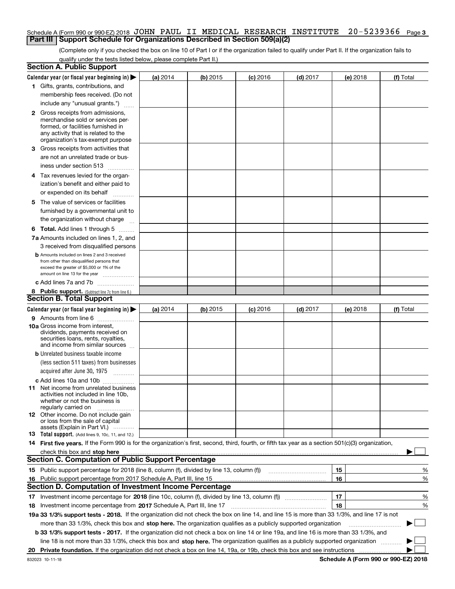### Schedule A (Form 990 or 990-EZ) 2018 JOHN PAUL II MEDICAL RESEARCH INSTITUTE 20-5239366 <sub>Page 3</sub> **Part III Support Schedule for Organizations Described in Section 509(a)(2)**

(Complete only if you checked the box on line 10 of Part I or if the organization failed to qualify under Part II. If the organization fails to qualify under the tests listed below, please complete Part II.)

|    | <b>Section A. Public Support</b>                                                                                                                                                                                               |          |            |            |            |          |           |
|----|--------------------------------------------------------------------------------------------------------------------------------------------------------------------------------------------------------------------------------|----------|------------|------------|------------|----------|-----------|
|    | Calendar year (or fiscal year beginning in) $\blacktriangleright$                                                                                                                                                              | (a) 2014 | (b) 2015   | $(c)$ 2016 | $(d)$ 2017 | (e) 2018 | (f) Total |
|    | 1 Gifts, grants, contributions, and                                                                                                                                                                                            |          |            |            |            |          |           |
|    | membership fees received. (Do not                                                                                                                                                                                              |          |            |            |            |          |           |
|    | include any "unusual grants.")                                                                                                                                                                                                 |          |            |            |            |          |           |
|    | <b>2</b> Gross receipts from admissions,                                                                                                                                                                                       |          |            |            |            |          |           |
|    | merchandise sold or services per-                                                                                                                                                                                              |          |            |            |            |          |           |
|    | formed, or facilities furnished in                                                                                                                                                                                             |          |            |            |            |          |           |
|    | any activity that is related to the<br>organization's tax-exempt purpose                                                                                                                                                       |          |            |            |            |          |           |
|    | 3 Gross receipts from activities that                                                                                                                                                                                          |          |            |            |            |          |           |
|    | are not an unrelated trade or bus-                                                                                                                                                                                             |          |            |            |            |          |           |
|    | iness under section 513                                                                                                                                                                                                        |          |            |            |            |          |           |
|    |                                                                                                                                                                                                                                |          |            |            |            |          |           |
|    | 4 Tax revenues levied for the organ-                                                                                                                                                                                           |          |            |            |            |          |           |
|    | ization's benefit and either paid to                                                                                                                                                                                           |          |            |            |            |          |           |
|    | or expended on its behalf<br>.                                                                                                                                                                                                 |          |            |            |            |          |           |
|    | 5 The value of services or facilities                                                                                                                                                                                          |          |            |            |            |          |           |
|    | furnished by a governmental unit to                                                                                                                                                                                            |          |            |            |            |          |           |
|    | the organization without charge                                                                                                                                                                                                |          |            |            |            |          |           |
|    | <b>6 Total.</b> Add lines 1 through 5                                                                                                                                                                                          |          |            |            |            |          |           |
|    | 7a Amounts included on lines 1, 2, and                                                                                                                                                                                         |          |            |            |            |          |           |
|    | 3 received from disqualified persons                                                                                                                                                                                           |          |            |            |            |          |           |
|    | <b>b</b> Amounts included on lines 2 and 3 received                                                                                                                                                                            |          |            |            |            |          |           |
|    | from other than disqualified persons that<br>exceed the greater of \$5,000 or 1% of the                                                                                                                                        |          |            |            |            |          |           |
|    | amount on line 13 for the year                                                                                                                                                                                                 |          |            |            |            |          |           |
|    | c Add lines 7a and 7b                                                                                                                                                                                                          |          |            |            |            |          |           |
|    | 8 Public support. (Subtract line 7c from line 6.)                                                                                                                                                                              |          |            |            |            |          |           |
|    | <b>Section B. Total Support</b>                                                                                                                                                                                                |          |            |            |            |          |           |
|    | Calendar year (or fiscal year beginning in)                                                                                                                                                                                    | (a) 2014 | $(b)$ 2015 | $(c)$ 2016 | $(d)$ 2017 | (e) 2018 | (f) Total |
|    | 9 Amounts from line 6                                                                                                                                                                                                          |          |            |            |            |          |           |
|    | <b>10a</b> Gross income from interest,                                                                                                                                                                                         |          |            |            |            |          |           |
|    | dividends, payments received on                                                                                                                                                                                                |          |            |            |            |          |           |
|    | securities loans, rents, royalties,<br>and income from similar sources                                                                                                                                                         |          |            |            |            |          |           |
|    | <b>b</b> Unrelated business taxable income                                                                                                                                                                                     |          |            |            |            |          |           |
|    | (less section 511 taxes) from businesses                                                                                                                                                                                       |          |            |            |            |          |           |
|    | acquired after June 30, 1975 [10001]                                                                                                                                                                                           |          |            |            |            |          |           |
|    |                                                                                                                                                                                                                                |          |            |            |            |          |           |
|    | c Add lines 10a and 10b<br>11 Net income from unrelated business                                                                                                                                                               |          |            |            |            |          |           |
|    | activities not included in line 10b,                                                                                                                                                                                           |          |            |            |            |          |           |
|    | whether or not the business is                                                                                                                                                                                                 |          |            |            |            |          |           |
|    | regularly carried on                                                                                                                                                                                                           |          |            |            |            |          |           |
|    | <b>12</b> Other income. Do not include gain<br>or loss from the sale of capital                                                                                                                                                |          |            |            |            |          |           |
|    | assets (Explain in Part VI.)                                                                                                                                                                                                   |          |            |            |            |          |           |
|    | <b>13</b> Total support. (Add lines 9, 10c, 11, and 12.)                                                                                                                                                                       |          |            |            |            |          |           |
|    | 14 First five years. If the Form 990 is for the organization's first, second, third, fourth, or fifth tax year as a section 501(c)(3) organization,                                                                            |          |            |            |            |          |           |
|    | check this box and stop here measurements are all the state of the state of the state of the state of the state of the state of the state of the state of the state of the state of the state of the state of the state of the |          |            |            |            |          |           |
|    | <b>Section C. Computation of Public Support Percentage</b>                                                                                                                                                                     |          |            |            |            |          |           |
|    | 15 Public support percentage for 2018 (line 8, column (f), divided by line 13, column (f))                                                                                                                                     |          |            |            |            | 15       | %         |
|    | 16 Public support percentage from 2017 Schedule A, Part III, line 15                                                                                                                                                           |          |            |            |            | 16       | %         |
|    | <b>Section D. Computation of Investment Income Percentage</b>                                                                                                                                                                  |          |            |            |            |          |           |
|    | 17 Investment income percentage for 2018 (line 10c, column (f), divided by line 13, column (f))                                                                                                                                |          |            |            |            | 17       | %         |
|    | <b>18</b> Investment income percentage from <b>2017</b> Schedule A, Part III, line 17                                                                                                                                          |          |            |            |            | 18       | %         |
|    | 19a 33 1/3% support tests - 2018. If the organization did not check the box on line 14, and line 15 is more than 33 1/3%, and line 17 is not                                                                                   |          |            |            |            |          |           |
|    | more than 33 1/3%, check this box and stop here. The organization qualifies as a publicly supported organization                                                                                                               |          |            |            |            |          | ▶         |
|    | b 33 1/3% support tests - 2017. If the organization did not check a box on line 14 or line 19a, and line 16 is more than 33 1/3%, and                                                                                          |          |            |            |            |          |           |
|    | line 18 is not more than 33 1/3%, check this box and stop here. The organization qualifies as a publicly supported organization                                                                                                |          |            |            |            |          |           |
| 20 |                                                                                                                                                                                                                                |          |            |            |            |          |           |
|    |                                                                                                                                                                                                                                |          |            |            |            |          |           |

**Schedule A (Form 990 or 990-EZ) 2018**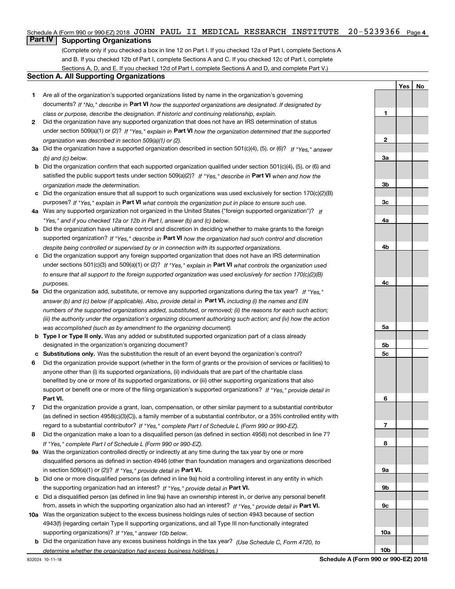## Schedule A (Form 990 or 990-EZ) 2018 JOHN PAUL II MEDICAL RESEARCH INSTITUTE 20-5239366 <sub>Page 4</sub>

# **Part IV Supporting Organizations**

(Complete only if you checked a box in line 12 on Part I. If you checked 12a of Part I, complete Sections A and B. If you checked 12b of Part I, complete Sections A and C. If you checked 12c of Part I, complete Sections A, D, and E. If you checked 12d of Part I, complete Sections A and D, and complete Part V.)

#### **Section A. All Supporting Organizations**

- **1** Are all of the organization's supported organizations listed by name in the organization's governing documents? If "No," describe in **Part VI** how the supported organizations are designated. If designated by *class or purpose, describe the designation. If historic and continuing relationship, explain.*
- **2** Did the organization have any supported organization that does not have an IRS determination of status under section 509(a)(1) or (2)? If "Yes," explain in Part VI how the organization determined that the supported *organization was described in section 509(a)(1) or (2).*
- **3a** Did the organization have a supported organization described in section 501(c)(4), (5), or (6)? If "Yes," answer *(b) and (c) below.*
- **b** Did the organization confirm that each supported organization qualified under section 501(c)(4), (5), or (6) and satisfied the public support tests under section 509(a)(2)? If "Yes," describe in **Part VI** when and how the *organization made the determination.*
- **c**Did the organization ensure that all support to such organizations was used exclusively for section 170(c)(2)(B) purposes? If "Yes," explain in **Part VI** what controls the organization put in place to ensure such use.
- **4a***If* Was any supported organization not organized in the United States ("foreign supported organization")? *"Yes," and if you checked 12a or 12b in Part I, answer (b) and (c) below.*
- **b** Did the organization have ultimate control and discretion in deciding whether to make grants to the foreign supported organization? If "Yes," describe in **Part VI** how the organization had such control and discretion *despite being controlled or supervised by or in connection with its supported organizations.*
- **c** Did the organization support any foreign supported organization that does not have an IRS determination under sections 501(c)(3) and 509(a)(1) or (2)? If "Yes," explain in **Part VI** what controls the organization used *to ensure that all support to the foreign supported organization was used exclusively for section 170(c)(2)(B) purposes.*
- **5a***If "Yes,"* Did the organization add, substitute, or remove any supported organizations during the tax year? answer (b) and (c) below (if applicable). Also, provide detail in **Part VI,** including (i) the names and EIN *numbers of the supported organizations added, substituted, or removed; (ii) the reasons for each such action; (iii) the authority under the organization's organizing document authorizing such action; and (iv) how the action was accomplished (such as by amendment to the organizing document).*
- **b** Type I or Type II only. Was any added or substituted supported organization part of a class already designated in the organization's organizing document?
- **cSubstitutions only.**  Was the substitution the result of an event beyond the organization's control?
- **6** Did the organization provide support (whether in the form of grants or the provision of services or facilities) to **Part VI.** *If "Yes," provide detail in* support or benefit one or more of the filing organization's supported organizations? anyone other than (i) its supported organizations, (ii) individuals that are part of the charitable class benefited by one or more of its supported organizations, or (iii) other supporting organizations that also
- **7**Did the organization provide a grant, loan, compensation, or other similar payment to a substantial contributor *If "Yes," complete Part I of Schedule L (Form 990 or 990-EZ).* regard to a substantial contributor? (as defined in section 4958(c)(3)(C)), a family member of a substantial contributor, or a 35% controlled entity with
- **8** Did the organization make a loan to a disqualified person (as defined in section 4958) not described in line 7? *If "Yes," complete Part I of Schedule L (Form 990 or 990-EZ).*
- **9a** Was the organization controlled directly or indirectly at any time during the tax year by one or more in section 509(a)(1) or (2))? If "Yes," *provide detail in* <code>Part VI.</code> disqualified persons as defined in section 4946 (other than foundation managers and organizations described
- **b** Did one or more disqualified persons (as defined in line 9a) hold a controlling interest in any entity in which the supporting organization had an interest? If "Yes," provide detail in P**art VI**.
- **c**Did a disqualified person (as defined in line 9a) have an ownership interest in, or derive any personal benefit from, assets in which the supporting organization also had an interest? If "Yes," provide detail in P**art VI.**
- **10a** Was the organization subject to the excess business holdings rules of section 4943 because of section supporting organizations)? If "Yes," answer 10b below. 4943(f) (regarding certain Type II supporting organizations, and all Type III non-functionally integrated
- **b** Did the organization have any excess business holdings in the tax year? (Use Schedule C, Form 4720, to *determine whether the organization had excess business holdings.)*

**YesNo**

**1**

**2**

**3a**

**3b**

**3c**

**4a**

**4b**

**4c**

**5a**

**5b5c**

**6**

**7**

**8**

**9a**

**9b**

**9c**

**10a**

**10b**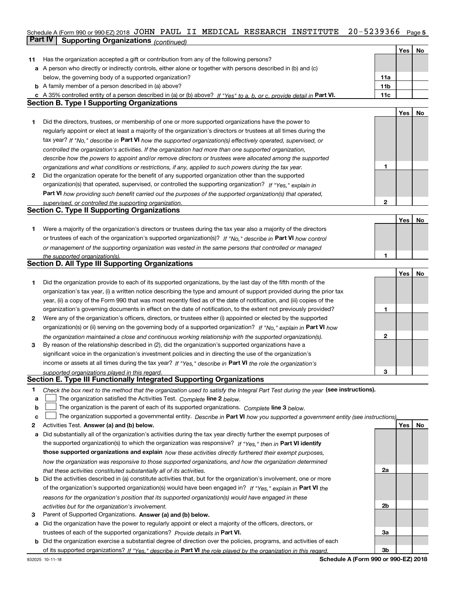# Schedule A (Form 990 or 990-EZ) 2018 JOHN PAUL II MEDICAL RESEARCH INSTITUTE 20-5239366 <sub>Page 5</sub> **Part IV | Supporting Organizations** *(continued)*

|    |                                                                                                                                   |                 | Yes        | No |
|----|-----------------------------------------------------------------------------------------------------------------------------------|-----------------|------------|----|
| 11 | Has the organization accepted a gift or contribution from any of the following persons?                                           |                 |            |    |
|    | a A person who directly or indirectly controls, either alone or together with persons described in (b) and (c)                    |                 |            |    |
|    | below, the governing body of a supported organization?                                                                            | 11a             |            |    |
|    | <b>b</b> A family member of a person described in (a) above?                                                                      | 11 <sub>b</sub> |            |    |
|    | c A 35% controlled entity of a person described in (a) or (b) above? If "Yes" to a, b, or c, provide detail in Part VI.           | 11c             |            |    |
|    | <b>Section B. Type I Supporting Organizations</b>                                                                                 |                 |            |    |
|    |                                                                                                                                   |                 | Yes        | No |
| 1  | Did the directors, trustees, or membership of one or more supported organizations have the power to                               |                 |            |    |
|    | regularly appoint or elect at least a majority of the organization's directors or trustees at all times during the                |                 |            |    |
|    | tax year? If "No," describe in Part VI how the supported organization(s) effectively operated, supervised, or                     |                 |            |    |
|    | controlled the organization's activities. If the organization had more than one supported organization,                           |                 |            |    |
|    | describe how the powers to appoint and/or remove directors or trustees were allocated among the supported                         |                 |            |    |
|    | organizations and what conditions or restrictions, if any, applied to such powers during the tax year.                            | 1               |            |    |
| 2  | Did the organization operate for the benefit of any supported organization other than the supported                               |                 |            |    |
|    |                                                                                                                                   |                 |            |    |
|    | organization(s) that operated, supervised, or controlled the supporting organization? If "Yes," explain in                        |                 |            |    |
|    | Part VI how providing such benefit carried out the purposes of the supported organization(s) that operated,                       |                 |            |    |
|    | supervised, or controlled the supporting organization.<br><b>Section C. Type II Supporting Organizations</b>                      | 2               |            |    |
|    |                                                                                                                                   |                 |            |    |
|    |                                                                                                                                   |                 | Yes        | No |
| 1  | Were a majority of the organization's directors or trustees during the tax year also a majority of the directors                  |                 |            |    |
|    | or trustees of each of the organization's supported organization(s)? If "No," describe in Part VI how control                     |                 |            |    |
|    | or management of the supporting organization was vested in the same persons that controlled or managed                            |                 |            |    |
|    | the supported organization(s).                                                                                                    | 1               |            |    |
|    | <b>Section D. All Type III Supporting Organizations</b>                                                                           |                 |            |    |
|    |                                                                                                                                   |                 | Yes        | No |
| 1  | Did the organization provide to each of its supported organizations, by the last day of the fifth month of the                    |                 |            |    |
|    | organization's tax year, (i) a written notice describing the type and amount of support provided during the prior tax             |                 |            |    |
|    | year, (ii) a copy of the Form 990 that was most recently filed as of the date of notification, and (iii) copies of the            |                 |            |    |
|    | organization's governing documents in effect on the date of notification, to the extent not previously provided?                  | 1               |            |    |
| 2  | Were any of the organization's officers, directors, or trustees either (i) appointed or elected by the supported                  |                 |            |    |
|    | organization(s) or (ii) serving on the governing body of a supported organization? If "No," explain in Part VI how                |                 |            |    |
|    | the organization maintained a close and continuous working relationship with the supported organization(s).                       | 2               |            |    |
| 3  | By reason of the relationship described in (2), did the organization's supported organizations have a                             |                 |            |    |
|    | significant voice in the organization's investment policies and in directing the use of the organization's                        |                 |            |    |
|    | income or assets at all times during the tax year? If "Yes," describe in Part VI the role the organization's                      |                 |            |    |
|    | supported organizations played in this regard.                                                                                    | 3               |            |    |
|    | Section E. Type III Functionally Integrated Supporting Organizations                                                              |                 |            |    |
| 1  | Check the box next to the method that the organization used to satisfy the Integral Part Test during the year (see instructions). |                 |            |    |
| a  | The organization satisfied the Activities Test. Complete line 2 below.                                                            |                 |            |    |
| b  | The organization is the parent of each of its supported organizations. Complete line 3 below.                                     |                 |            |    |
| с  | The organization supported a governmental entity. Describe in Part VI how you supported a government entity (see instructions),   |                 |            |    |
| 2  | Activities Test. Answer (a) and (b) below.                                                                                        |                 | <b>Yes</b> | No |
| а  | Did substantially all of the organization's activities during the tax year directly further the exempt purposes of                |                 |            |    |
|    | the supported organization(s) to which the organization was responsive? If "Yes," then in Part VI identify                        |                 |            |    |
|    | those supported organizations and explain how these activities directly furthered their exempt purposes,                          |                 |            |    |
|    |                                                                                                                                   |                 |            |    |
|    | how the organization was responsive to those supported organizations, and how the organization determined                         |                 |            |    |
|    | that these activities constituted substantially all of its activities.                                                            | 2a              |            |    |
|    | <b>b</b> Did the activities described in (a) constitute activities that, but for the organization's involvement, one or more      |                 |            |    |
|    | of the organization's supported organization(s) would have been engaged in? If "Yes," explain in Part VI the                      |                 |            |    |
|    | reasons for the organization's position that its supported organization(s) would have engaged in these                            |                 |            |    |
|    | activities but for the organization's involvement.                                                                                | 2b              |            |    |
| З  | Parent of Supported Organizations. Answer (a) and (b) below.                                                                      |                 |            |    |
| а  | Did the organization have the power to regularly appoint or elect a majority of the officers, directors, or                       |                 |            |    |
|    | trustees of each of the supported organizations? Provide details in Part VI.                                                      | За              |            |    |
|    | <b>b</b> Did the organization exercise a substantial degree of direction over the policies, programs, and activities of each      |                 |            |    |
|    | of its supported organizations? If "Yes," describe in Part VI the role played by the organization in this regard.                 | 3b              |            |    |
|    | Schodule A (Form 000 or 000 F7) 2019                                                                                              |                 |            |    |

**Schedule A (Form 990 or 990-EZ) 2018**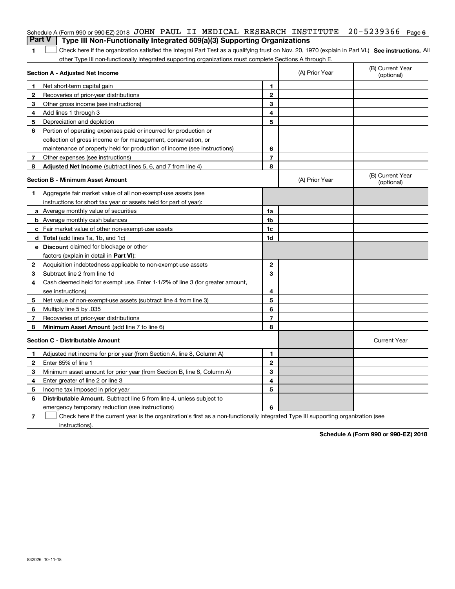|              | Schedule A (Form 990 or 990-EZ) 2018 JOHN PAUL II MEDICAL RESEARCH INSTITUTE                                                                      |                |                | $20 - 5239366$ Page 6          |
|--------------|---------------------------------------------------------------------------------------------------------------------------------------------------|----------------|----------------|--------------------------------|
|              | <b>Part V</b><br>Type III Non-Functionally Integrated 509(a)(3) Supporting Organizations                                                          |                |                |                                |
| 1            | Check here if the organization satisfied the Integral Part Test as a qualifying trust on Nov. 20, 1970 (explain in Part VI.) See instructions. Al |                |                |                                |
|              | other Type III non-functionally integrated supporting organizations must complete Sections A through E.                                           |                |                |                                |
|              | <b>Section A - Adjusted Net Income</b>                                                                                                            |                | (A) Prior Year | (B) Current Year<br>(optional) |
| 1            | Net short-term capital gain                                                                                                                       | 1              |                |                                |
| $\mathbf{2}$ | Recoveries of prior-year distributions                                                                                                            | $\mathbf 2$    |                |                                |
| 3            | Other gross income (see instructions)                                                                                                             | 3              |                |                                |
| 4            | Add lines 1 through 3                                                                                                                             | 4              |                |                                |
| 5            | Depreciation and depletion                                                                                                                        | 5              |                |                                |
| 6            | Portion of operating expenses paid or incurred for production or                                                                                  |                |                |                                |
|              | collection of gross income or for management, conservation, or                                                                                    |                |                |                                |
|              | maintenance of property held for production of income (see instructions)                                                                          | 6              |                |                                |
| 7            | Other expenses (see instructions)                                                                                                                 | 7              |                |                                |
| 8            | Adjusted Net Income (subtract lines 5, 6, and 7 from line 4)                                                                                      | 8              |                |                                |
|              | <b>Section B - Minimum Asset Amount</b>                                                                                                           |                | (A) Prior Year | (B) Current Year<br>(optional) |
| 1            | Aggregate fair market value of all non-exempt-use assets (see                                                                                     |                |                |                                |
|              | instructions for short tax year or assets held for part of year):                                                                                 |                |                |                                |
|              | <b>a</b> Average monthly value of securities                                                                                                      | 1a             |                |                                |
|              | <b>b</b> Average monthly cash balances                                                                                                            | 1b             |                |                                |
|              | c Fair market value of other non-exempt-use assets                                                                                                | 1 <sub>c</sub> |                |                                |
|              | <b>d</b> Total (add lines 1a, 1b, and 1c)                                                                                                         | 1d             |                |                                |
|              | e Discount claimed for blockage or other                                                                                                          |                |                |                                |
|              | factors (explain in detail in Part VI):                                                                                                           |                |                |                                |
| 2            | Acquisition indebtedness applicable to non-exempt-use assets                                                                                      | 2              |                |                                |
| 3            | Subtract line 2 from line 1d                                                                                                                      | 3              |                |                                |
| 4            | Cash deemed held for exempt use. Enter 1-1/2% of line 3 (for greater amount,                                                                      |                |                |                                |
|              | see instructions)                                                                                                                                 | 4              |                |                                |
| 5            | Net value of non-exempt-use assets (subtract line 4 from line 3)                                                                                  | 5              |                |                                |
| 6            | Multiply line 5 by .035                                                                                                                           | 6              |                |                                |
| 7            | Recoveries of prior-year distributions                                                                                                            | 7              |                |                                |
| 8            | Minimum Asset Amount (add line 7 to line 6)                                                                                                       | 8              |                |                                |
|              | <b>Section C - Distributable Amount</b>                                                                                                           |                |                | <b>Current Year</b>            |
| 1            | Adjusted net income for prior year (from Section A, line 8, Column A)                                                                             | 1              |                |                                |
| $\mathbf{2}$ | Enter 85% of line 1                                                                                                                               | $\mathbf{2}$   |                |                                |
| 3            | Minimum asset amount for prior year (from Section B, line 8, Column A)                                                                            | 3              |                |                                |
| 4            | Enter greater of line 2 or line 3                                                                                                                 | 4              |                |                                |
| 5            | Income tax imposed in prior year                                                                                                                  | 5              |                |                                |
| 6            | <b>Distributable Amount.</b> Subtract line 5 from line 4, unless subject to                                                                       |                |                |                                |
|              | emergency temporary reduction (see instructions)                                                                                                  | 6              |                |                                |
|              |                                                                                                                                                   |                |                |                                |

**7** Check here if the current year is the organization's first as a non-functionally integrated Type III supporting organization (see instructions).

**Schedule A (Form 990 or 990-EZ) 2018**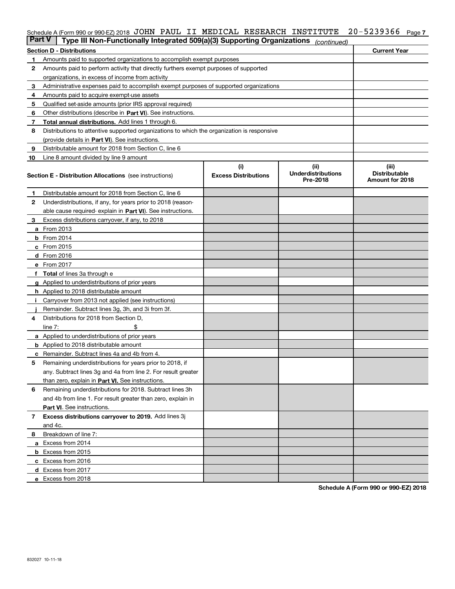## Schedule A (Form 990 or 990-EZ) 2018 JOHN PAUL II MEDICAL RESEARCH INSTITUTE 20-5239366 <sub>Page 7</sub>

| <b>Part V</b> | Type III Non-Functionally Integrated 509(a)(3) Supporting Organizations                    |                             | (continued)                           |                                         |  |  |
|---------------|--------------------------------------------------------------------------------------------|-----------------------------|---------------------------------------|-----------------------------------------|--|--|
|               | <b>Section D - Distributions</b>                                                           |                             |                                       | <b>Current Year</b>                     |  |  |
| 1             | Amounts paid to supported organizations to accomplish exempt purposes                      |                             |                                       |                                         |  |  |
| 2             | Amounts paid to perform activity that directly furthers exempt purposes of supported       |                             |                                       |                                         |  |  |
|               | organizations, in excess of income from activity                                           |                             |                                       |                                         |  |  |
| з             | Administrative expenses paid to accomplish exempt purposes of supported organizations      |                             |                                       |                                         |  |  |
| 4             | Amounts paid to acquire exempt-use assets                                                  |                             |                                       |                                         |  |  |
| 5             | Qualified set-aside amounts (prior IRS approval required)                                  |                             |                                       |                                         |  |  |
| 6             | Other distributions (describe in Part VI). See instructions.                               |                             |                                       |                                         |  |  |
| 7             | Total annual distributions. Add lines 1 through 6.                                         |                             |                                       |                                         |  |  |
| 8             | Distributions to attentive supported organizations to which the organization is responsive |                             |                                       |                                         |  |  |
|               | (provide details in Part VI). See instructions.                                            |                             |                                       |                                         |  |  |
| 9             | Distributable amount for 2018 from Section C, line 6                                       |                             |                                       |                                         |  |  |
| 10            | Line 8 amount divided by line 9 amount                                                     |                             |                                       |                                         |  |  |
|               |                                                                                            | (i)                         | (iii)                                 | (iii)                                   |  |  |
|               | <b>Section E - Distribution Allocations</b> (see instructions)                             | <b>Excess Distributions</b> | <b>Underdistributions</b><br>Pre-2018 | <b>Distributable</b><br>Amount for 2018 |  |  |
| 1             | Distributable amount for 2018 from Section C, line 6                                       |                             |                                       |                                         |  |  |
| 2             | Underdistributions, if any, for years prior to 2018 (reason-                               |                             |                                       |                                         |  |  |
|               | able cause required- explain in Part VI). See instructions.                                |                             |                                       |                                         |  |  |
| з             | Excess distributions carryover, if any, to 2018                                            |                             |                                       |                                         |  |  |
|               | <b>a</b> From 2013                                                                         |                             |                                       |                                         |  |  |
|               | <b>b</b> From 2014                                                                         |                             |                                       |                                         |  |  |
|               | $c$ From 2015                                                                              |                             |                                       |                                         |  |  |
|               | d From 2016                                                                                |                             |                                       |                                         |  |  |
|               | e From 2017                                                                                |                             |                                       |                                         |  |  |
|               | Total of lines 3a through e                                                                |                             |                                       |                                         |  |  |
|               | Applied to underdistributions of prior years                                               |                             |                                       |                                         |  |  |
|               | <b>h</b> Applied to 2018 distributable amount                                              |                             |                                       |                                         |  |  |
|               | Carryover from 2013 not applied (see instructions)                                         |                             |                                       |                                         |  |  |
|               | Remainder. Subtract lines 3g, 3h, and 3i from 3f.                                          |                             |                                       |                                         |  |  |
| 4             | Distributions for 2018 from Section D,                                                     |                             |                                       |                                         |  |  |
|               | line $7:$                                                                                  |                             |                                       |                                         |  |  |
|               | <b>a</b> Applied to underdistributions of prior years                                      |                             |                                       |                                         |  |  |
|               | <b>b</b> Applied to 2018 distributable amount                                              |                             |                                       |                                         |  |  |
| c             | Remainder. Subtract lines 4a and 4b from 4.                                                |                             |                                       |                                         |  |  |
| 5             | Remaining underdistributions for years prior to 2018, if                                   |                             |                                       |                                         |  |  |
|               | any. Subtract lines 3g and 4a from line 2. For result greater                              |                             |                                       |                                         |  |  |
|               | than zero, explain in Part VI. See instructions.                                           |                             |                                       |                                         |  |  |
| 6             | Remaining underdistributions for 2018. Subtract lines 3h                                   |                             |                                       |                                         |  |  |
|               | and 4b from line 1. For result greater than zero, explain in                               |                             |                                       |                                         |  |  |
|               | Part VI. See instructions.                                                                 |                             |                                       |                                         |  |  |
| 7             | Excess distributions carryover to 2019. Add lines 3j                                       |                             |                                       |                                         |  |  |
|               | and 4c.                                                                                    |                             |                                       |                                         |  |  |
| 8             | Breakdown of line 7:                                                                       |                             |                                       |                                         |  |  |
|               | a Excess from 2014                                                                         |                             |                                       |                                         |  |  |
|               | <b>b</b> Excess from 2015                                                                  |                             |                                       |                                         |  |  |
|               | c Excess from 2016                                                                         |                             |                                       |                                         |  |  |
|               | d Excess from 2017                                                                         |                             |                                       |                                         |  |  |
|               | e Excess from 2018                                                                         |                             |                                       |                                         |  |  |

**Schedule A (Form 990 or 990-EZ) 2018**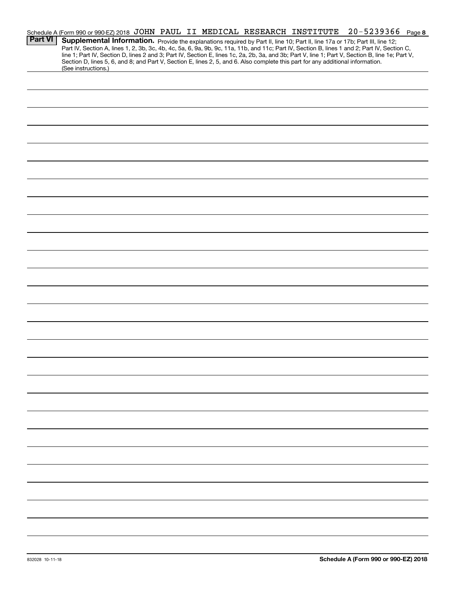|                | Schedule A (Form 990 or 990-EZ) 2018 JOHN PAUL II MEDICAL RESEARCH INSTITUTE                                                    |  |  | 20-5239366                                                                                                                                                                                                                                                                                       | Page 8 |
|----------------|---------------------------------------------------------------------------------------------------------------------------------|--|--|--------------------------------------------------------------------------------------------------------------------------------------------------------------------------------------------------------------------------------------------------------------------------------------------------|--------|
| <b>Part VI</b> | Supplemental Information. Provide the explanations required by Part II, line 10; Part II, line 17a or 17b; Part III, line 12;   |  |  |                                                                                                                                                                                                                                                                                                  |        |
|                |                                                                                                                                 |  |  | Part IV, Section A, lines 1, 2, 3b, 3c, 4b, 4c, 5a, 6, 9a, 9b, 9c, 11a, 11b, and 11c; Part IV, Section B, lines 1 and 2; Part IV, Section C,<br>line 1; Part IV, Section D, lines 2 and 3; Part IV, Section E, lines 1c, 2a, 2b, 3a, and 3b; Part V, line 1; Part V, Section B, line 1e; Part V, |        |
|                | Section D, lines 5, 6, and 8; and Part V, Section E, lines 2, 5, and 6. Also complete this part for any additional information. |  |  |                                                                                                                                                                                                                                                                                                  |        |
|                | (See instructions.)                                                                                                             |  |  |                                                                                                                                                                                                                                                                                                  |        |
|                |                                                                                                                                 |  |  |                                                                                                                                                                                                                                                                                                  |        |
|                |                                                                                                                                 |  |  |                                                                                                                                                                                                                                                                                                  |        |
|                |                                                                                                                                 |  |  |                                                                                                                                                                                                                                                                                                  |        |
|                |                                                                                                                                 |  |  |                                                                                                                                                                                                                                                                                                  |        |
|                |                                                                                                                                 |  |  |                                                                                                                                                                                                                                                                                                  |        |
|                |                                                                                                                                 |  |  |                                                                                                                                                                                                                                                                                                  |        |
|                |                                                                                                                                 |  |  |                                                                                                                                                                                                                                                                                                  |        |
|                |                                                                                                                                 |  |  |                                                                                                                                                                                                                                                                                                  |        |
|                |                                                                                                                                 |  |  |                                                                                                                                                                                                                                                                                                  |        |
|                |                                                                                                                                 |  |  |                                                                                                                                                                                                                                                                                                  |        |
|                |                                                                                                                                 |  |  |                                                                                                                                                                                                                                                                                                  |        |
|                |                                                                                                                                 |  |  |                                                                                                                                                                                                                                                                                                  |        |
|                |                                                                                                                                 |  |  |                                                                                                                                                                                                                                                                                                  |        |
|                |                                                                                                                                 |  |  |                                                                                                                                                                                                                                                                                                  |        |
|                |                                                                                                                                 |  |  |                                                                                                                                                                                                                                                                                                  |        |
|                |                                                                                                                                 |  |  |                                                                                                                                                                                                                                                                                                  |        |
|                |                                                                                                                                 |  |  |                                                                                                                                                                                                                                                                                                  |        |
|                |                                                                                                                                 |  |  |                                                                                                                                                                                                                                                                                                  |        |
|                |                                                                                                                                 |  |  |                                                                                                                                                                                                                                                                                                  |        |
|                |                                                                                                                                 |  |  |                                                                                                                                                                                                                                                                                                  |        |
|                |                                                                                                                                 |  |  |                                                                                                                                                                                                                                                                                                  |        |
|                |                                                                                                                                 |  |  |                                                                                                                                                                                                                                                                                                  |        |
|                |                                                                                                                                 |  |  |                                                                                                                                                                                                                                                                                                  |        |
|                |                                                                                                                                 |  |  |                                                                                                                                                                                                                                                                                                  |        |
|                |                                                                                                                                 |  |  |                                                                                                                                                                                                                                                                                                  |        |
|                |                                                                                                                                 |  |  |                                                                                                                                                                                                                                                                                                  |        |
|                |                                                                                                                                 |  |  |                                                                                                                                                                                                                                                                                                  |        |
|                |                                                                                                                                 |  |  |                                                                                                                                                                                                                                                                                                  |        |
|                |                                                                                                                                 |  |  |                                                                                                                                                                                                                                                                                                  |        |
|                |                                                                                                                                 |  |  |                                                                                                                                                                                                                                                                                                  |        |
|                |                                                                                                                                 |  |  |                                                                                                                                                                                                                                                                                                  |        |
|                |                                                                                                                                 |  |  |                                                                                                                                                                                                                                                                                                  |        |
|                |                                                                                                                                 |  |  |                                                                                                                                                                                                                                                                                                  |        |
|                |                                                                                                                                 |  |  |                                                                                                                                                                                                                                                                                                  |        |
|                |                                                                                                                                 |  |  |                                                                                                                                                                                                                                                                                                  |        |
|                |                                                                                                                                 |  |  |                                                                                                                                                                                                                                                                                                  |        |
|                |                                                                                                                                 |  |  |                                                                                                                                                                                                                                                                                                  |        |
|                |                                                                                                                                 |  |  |                                                                                                                                                                                                                                                                                                  |        |
|                |                                                                                                                                 |  |  |                                                                                                                                                                                                                                                                                                  |        |
|                |                                                                                                                                 |  |  |                                                                                                                                                                                                                                                                                                  |        |
|                |                                                                                                                                 |  |  |                                                                                                                                                                                                                                                                                                  |        |
|                |                                                                                                                                 |  |  |                                                                                                                                                                                                                                                                                                  |        |
|                |                                                                                                                                 |  |  |                                                                                                                                                                                                                                                                                                  |        |
|                |                                                                                                                                 |  |  |                                                                                                                                                                                                                                                                                                  |        |
|                |                                                                                                                                 |  |  |                                                                                                                                                                                                                                                                                                  |        |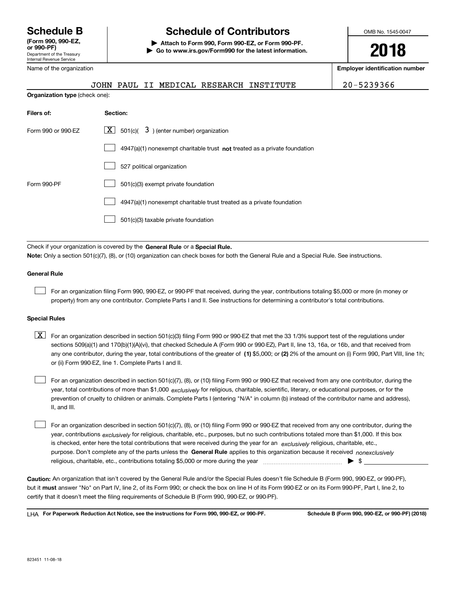Department of the Treasury Internal Revenue Service **(Form 990, 990-EZ, or 990-PF)** Name of the organization

**Organization type** (check one):

# **Schedule B Schedule of Contributors**

**| Attach to Form 990, Form 990-EZ, or Form 990-PF. | Go to www.irs.gov/Form990 for the latest information.** OMB No. 1545-0047

**2018**

**Employer identification number**

JOHN PAUL II MEDICAL RESEARCH INSTITUTE 20-5239366

| Filers of:         | Section:                                                                    |
|--------------------|-----------------------------------------------------------------------------|
| Form 990 or 990-EZ | $\lfloor x \rfloor$ 501(c)( 3) (enter number) organization                  |
|                    | $4947(a)(1)$ nonexempt charitable trust not treated as a private foundation |
|                    | 527 political organization                                                  |
| Form 990-PF        | 501(c)(3) exempt private foundation                                         |
|                    | 4947(a)(1) nonexempt charitable trust treated as a private foundation       |
|                    | 501(c)(3) taxable private foundation                                        |

Check if your organization is covered by the **General Rule** or a **Special Rule. Note:**  Only a section 501(c)(7), (8), or (10) organization can check boxes for both the General Rule and a Special Rule. See instructions.

### **General Rule**

 $\mathcal{L}^{\text{max}}$ 

For an organization filing Form 990, 990-EZ, or 990-PF that received, during the year, contributions totaling \$5,000 or more (in money or property) from any one contributor. Complete Parts I and II. See instructions for determining a contributor's total contributions.

#### **Special Rules**

any one contributor, during the year, total contributions of the greater of  $\,$  (1) \$5,000; or **(2)** 2% of the amount on (i) Form 990, Part VIII, line 1h;  $\boxed{\textbf{X}}$  For an organization described in section 501(c)(3) filing Form 990 or 990-EZ that met the 33 1/3% support test of the regulations under sections 509(a)(1) and 170(b)(1)(A)(vi), that checked Schedule A (Form 990 or 990-EZ), Part II, line 13, 16a, or 16b, and that received from or (ii) Form 990-EZ, line 1. Complete Parts I and II.

year, total contributions of more than \$1,000 *exclusively* for religious, charitable, scientific, literary, or educational purposes, or for the For an organization described in section 501(c)(7), (8), or (10) filing Form 990 or 990-EZ that received from any one contributor, during the prevention of cruelty to children or animals. Complete Parts I (entering "N/A" in column (b) instead of the contributor name and address), II, and III.  $\mathcal{L}^{\text{max}}$ 

purpose. Don't complete any of the parts unless the **General Rule** applies to this organization because it received *nonexclusively* year, contributions <sub>exclusively</sub> for religious, charitable, etc., purposes, but no such contributions totaled more than \$1,000. If this box is checked, enter here the total contributions that were received during the year for an  $\;$ exclusively religious, charitable, etc., For an organization described in section 501(c)(7), (8), or (10) filing Form 990 or 990-EZ that received from any one contributor, during the religious, charitable, etc., contributions totaling \$5,000 or more during the year  $\Box$ — $\Box$   $\Box$  $\mathcal{L}^{\text{max}}$ 

**Caution:**  An organization that isn't covered by the General Rule and/or the Special Rules doesn't file Schedule B (Form 990, 990-EZ, or 990-PF),  **must** but it answer "No" on Part IV, line 2, of its Form 990; or check the box on line H of its Form 990-EZ or on its Form 990-PF, Part I, line 2, to certify that it doesn't meet the filing requirements of Schedule B (Form 990, 990-EZ, or 990-PF).

**For Paperwork Reduction Act Notice, see the instructions for Form 990, 990-EZ, or 990-PF. Schedule B (Form 990, 990-EZ, or 990-PF) (2018)** LHA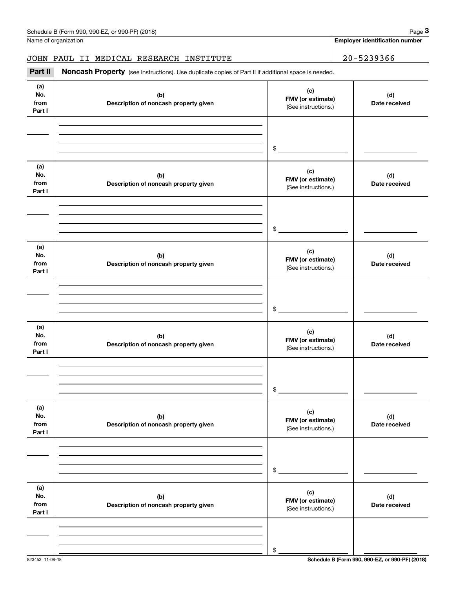**Employer identification number**

## JOHN PAUL II MEDICAL RESEARCH INSTITUTE | 20-5239366

(see instructions). Use duplicate copies of Part II if additional space is needed.<br> **20-5239366**<br> **120-5239366**<br> **120-5239366**<br> **120-5239366**<br> **120-5239366**<br> **120-5239366** 

| (a)<br>No.<br>from<br>Part I | (b)<br>Description of noncash property given | (c)<br>FMV (or estimate)<br>(See instructions.) | (d)<br>Date received |
|------------------------------|----------------------------------------------|-------------------------------------------------|----------------------|
|                              |                                              | $\frac{1}{2}$                                   |                      |
| (a)<br>No.<br>from<br>Part I | (b)<br>Description of noncash property given | (c)<br>FMV (or estimate)<br>(See instructions.) | (d)<br>Date received |
|                              |                                              | $\mathfrak{S}$                                  |                      |
| (a)<br>No.<br>from<br>Part I | (b)<br>Description of noncash property given | (c)<br>FMV (or estimate)<br>(See instructions.) | (d)<br>Date received |
|                              |                                              | $$\frown$                                       |                      |
| (a)<br>No.<br>from<br>Part I | (b)<br>Description of noncash property given | (c)<br>FMV (or estimate)<br>(See instructions.) | (d)<br>Date received |
|                              |                                              | $\mathfrak s$                                   |                      |
| (a)<br>No.<br>from<br>Part I | (b)<br>Description of noncash property given | (c)<br>FMV (or estimate)<br>(See instructions.) | (d)<br>Date received |
|                              |                                              | \$                                              |                      |
| (a)<br>No.<br>from<br>Part I | (b)<br>Description of noncash property given | (c)<br>FMV (or estimate)<br>(See instructions.) | (d)<br>Date received |
|                              |                                              | \$                                              |                      |

823453 11-08-18 **Schedule B (Form 990, 990-EZ, or 990-PF) (2018)**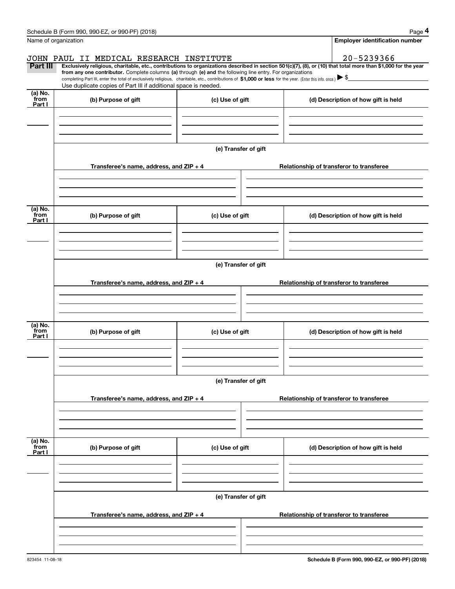|                           | Schedule B (Form 990, 990-EZ, or 990-PF) (2018)                                                                                                                                                                                                      |                      | Page 4                                                                                                                                                         |  |  |  |  |  |  |
|---------------------------|------------------------------------------------------------------------------------------------------------------------------------------------------------------------------------------------------------------------------------------------------|----------------------|----------------------------------------------------------------------------------------------------------------------------------------------------------------|--|--|--|--|--|--|
|                           | Name of organization                                                                                                                                                                                                                                 |                      | <b>Employer identification number</b>                                                                                                                          |  |  |  |  |  |  |
|                           | JOHN PAUL II MEDICAL RESEARCH INSTITUTE                                                                                                                                                                                                              |                      | 20-5239366                                                                                                                                                     |  |  |  |  |  |  |
| Part III                  | from any one contributor. Complete columns (a) through (e) and the following line entry. For organizations                                                                                                                                           |                      | Exclusively religious, charitable, etc., contributions to organizations described in section 501(c)(7), (8), or (10) that total more than \$1,000 for the year |  |  |  |  |  |  |
|                           | completing Part III, enter the total of exclusively religious, charitable, etc., contributions of \$1,000 or less for the year. (Enter this info. once.) $\blacktriangleright$ \$<br>Use duplicate copies of Part III if additional space is needed. |                      |                                                                                                                                                                |  |  |  |  |  |  |
| (a) No.                   |                                                                                                                                                                                                                                                      |                      |                                                                                                                                                                |  |  |  |  |  |  |
| from<br>Part I            | (b) Purpose of gift                                                                                                                                                                                                                                  | (c) Use of gift      | (d) Description of how gift is held                                                                                                                            |  |  |  |  |  |  |
|                           |                                                                                                                                                                                                                                                      |                      |                                                                                                                                                                |  |  |  |  |  |  |
|                           |                                                                                                                                                                                                                                                      |                      |                                                                                                                                                                |  |  |  |  |  |  |
|                           |                                                                                                                                                                                                                                                      |                      |                                                                                                                                                                |  |  |  |  |  |  |
|                           |                                                                                                                                                                                                                                                      | (e) Transfer of gift |                                                                                                                                                                |  |  |  |  |  |  |
|                           | Transferee's name, address, and $ZIP + 4$                                                                                                                                                                                                            |                      | Relationship of transferor to transferee                                                                                                                       |  |  |  |  |  |  |
|                           |                                                                                                                                                                                                                                                      |                      |                                                                                                                                                                |  |  |  |  |  |  |
|                           |                                                                                                                                                                                                                                                      |                      |                                                                                                                                                                |  |  |  |  |  |  |
| (a) No.<br>from<br>Part I | (b) Purpose of gift                                                                                                                                                                                                                                  | (c) Use of gift      | (d) Description of how gift is held                                                                                                                            |  |  |  |  |  |  |
|                           |                                                                                                                                                                                                                                                      |                      |                                                                                                                                                                |  |  |  |  |  |  |
|                           |                                                                                                                                                                                                                                                      |                      |                                                                                                                                                                |  |  |  |  |  |  |
|                           |                                                                                                                                                                                                                                                      | (e) Transfer of gift |                                                                                                                                                                |  |  |  |  |  |  |
|                           |                                                                                                                                                                                                                                                      |                      |                                                                                                                                                                |  |  |  |  |  |  |
|                           | Transferee's name, address, and $ZIP + 4$                                                                                                                                                                                                            |                      | Relationship of transferor to transferee                                                                                                                       |  |  |  |  |  |  |
|                           |                                                                                                                                                                                                                                                      |                      |                                                                                                                                                                |  |  |  |  |  |  |
|                           |                                                                                                                                                                                                                                                      |                      |                                                                                                                                                                |  |  |  |  |  |  |
|                           |                                                                                                                                                                                                                                                      |                      |                                                                                                                                                                |  |  |  |  |  |  |
| (a) No.<br>from<br>Part I | (b) Purpose of gift                                                                                                                                                                                                                                  | (c) Use of gift      | (d) Description of how gift is held                                                                                                                            |  |  |  |  |  |  |
|                           |                                                                                                                                                                                                                                                      |                      |                                                                                                                                                                |  |  |  |  |  |  |
|                           |                                                                                                                                                                                                                                                      |                      |                                                                                                                                                                |  |  |  |  |  |  |
|                           |                                                                                                                                                                                                                                                      |                      |                                                                                                                                                                |  |  |  |  |  |  |
|                           |                                                                                                                                                                                                                                                      | (e) Transfer of gift |                                                                                                                                                                |  |  |  |  |  |  |
|                           | Transferee's name, address, and ZIP + 4                                                                                                                                                                                                              |                      | Relationship of transferor to transferee                                                                                                                       |  |  |  |  |  |  |
|                           |                                                                                                                                                                                                                                                      |                      |                                                                                                                                                                |  |  |  |  |  |  |
|                           |                                                                                                                                                                                                                                                      |                      |                                                                                                                                                                |  |  |  |  |  |  |
|                           |                                                                                                                                                                                                                                                      |                      |                                                                                                                                                                |  |  |  |  |  |  |
| (a) No.<br>from<br>Part I | (b) Purpose of gift                                                                                                                                                                                                                                  | (c) Use of gift      | (d) Description of how gift is held                                                                                                                            |  |  |  |  |  |  |
|                           |                                                                                                                                                                                                                                                      |                      |                                                                                                                                                                |  |  |  |  |  |  |
|                           |                                                                                                                                                                                                                                                      |                      |                                                                                                                                                                |  |  |  |  |  |  |
|                           |                                                                                                                                                                                                                                                      | (e) Transfer of gift |                                                                                                                                                                |  |  |  |  |  |  |
|                           | Transferee's name, address, and $ZIP + 4$                                                                                                                                                                                                            |                      | Relationship of transferor to transferee                                                                                                                       |  |  |  |  |  |  |
|                           |                                                                                                                                                                                                                                                      |                      |                                                                                                                                                                |  |  |  |  |  |  |
|                           |                                                                                                                                                                                                                                                      |                      |                                                                                                                                                                |  |  |  |  |  |  |
|                           |                                                                                                                                                                                                                                                      |                      |                                                                                                                                                                |  |  |  |  |  |  |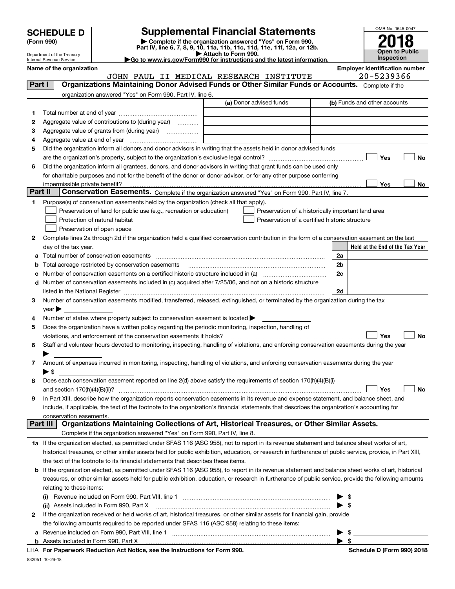| <b>SCHEDULE D</b> |  |
|-------------------|--|
|-------------------|--|

Department of the Treasury

# **SCHEDULE D Supplemental Financial Statements**

(Form 990)<br>
Pepartment of the Treasury<br>
Department of the Treasury<br>
Department of the Treasury<br>
Department of the Treasury<br> **Co to www.irs.gov/Form990 for instructions and the latest information.**<br> **Co to www.irs.gov/Form9** 

| to to www.irs.gov/Form990 for instructions and the latest informatio |  |
|----------------------------------------------------------------------|--|
|                                                                      |  |



|         | Internal Revenue Service                                            |                                                                                                        | $\blacktriangleright$ Go to www.irs.gov/Form990 for instructions and the latest information.                                                              |                          | <b>Inspection</b>                                   |    |
|---------|---------------------------------------------------------------------|--------------------------------------------------------------------------------------------------------|-----------------------------------------------------------------------------------------------------------------------------------------------------------|--------------------------|-----------------------------------------------------|----|
|         | Name of the organization<br>JOHN PAUL II MEDICAL RESEARCH INSTITUTE |                                                                                                        |                                                                                                                                                           |                          | <b>Employer identification number</b><br>20-5239366 |    |
|         | Part I                                                              |                                                                                                        | Organizations Maintaining Donor Advised Funds or Other Similar Funds or Accounts. Complete if the                                                         |                          |                                                     |    |
|         |                                                                     | organization answered "Yes" on Form 990, Part IV, line 6.                                              |                                                                                                                                                           |                          |                                                     |    |
|         |                                                                     |                                                                                                        | (a) Donor advised funds                                                                                                                                   |                          | (b) Funds and other accounts                        |    |
| 1       |                                                                     |                                                                                                        |                                                                                                                                                           |                          |                                                     |    |
| 2       |                                                                     | Aggregate value of contributions to (during year)                                                      |                                                                                                                                                           |                          |                                                     |    |
| 3       |                                                                     | Aggregate value of grants from (during year)                                                           |                                                                                                                                                           |                          |                                                     |    |
| 4       |                                                                     |                                                                                                        |                                                                                                                                                           |                          |                                                     |    |
| 5       |                                                                     |                                                                                                        | Did the organization inform all donors and donor advisors in writing that the assets held in donor advised funds                                          |                          |                                                     |    |
|         |                                                                     |                                                                                                        |                                                                                                                                                           |                          | Yes                                                 | No |
| 6       |                                                                     |                                                                                                        | Did the organization inform all grantees, donors, and donor advisors in writing that grant funds can be used only                                         |                          |                                                     |    |
|         |                                                                     |                                                                                                        | for charitable purposes and not for the benefit of the donor or donor advisor, or for any other purpose conferring                                        |                          |                                                     |    |
|         |                                                                     |                                                                                                        |                                                                                                                                                           |                          | Yes                                                 | No |
| Part II |                                                                     |                                                                                                        | Conservation Easements. Complete if the organization answered "Yes" on Form 990, Part IV, line 7.                                                         |                          |                                                     |    |
| 1       |                                                                     | Purpose(s) of conservation easements held by the organization (check all that apply).                  |                                                                                                                                                           |                          |                                                     |    |
|         |                                                                     | Preservation of land for public use (e.g., recreation or education)                                    | Preservation of a historically important land area                                                                                                        |                          |                                                     |    |
|         |                                                                     | Protection of natural habitat                                                                          | Preservation of a certified historic structure                                                                                                            |                          |                                                     |    |
|         |                                                                     | Preservation of open space                                                                             |                                                                                                                                                           |                          |                                                     |    |
| 2       |                                                                     |                                                                                                        | Complete lines 2a through 2d if the organization held a qualified conservation contribution in the form of a conservation easement on the last            |                          |                                                     |    |
|         | day of the tax year.                                                |                                                                                                        |                                                                                                                                                           |                          | Held at the End of the Tax Year                     |    |
| а       |                                                                     | Total number of conservation easements                                                                 |                                                                                                                                                           | 2a                       |                                                     |    |
| b       |                                                                     | Total acreage restricted by conservation easements                                                     |                                                                                                                                                           | 2b                       |                                                     |    |
| с       |                                                                     |                                                                                                        |                                                                                                                                                           | 2c                       |                                                     |    |
| d       |                                                                     |                                                                                                        | Number of conservation easements included in (c) acquired after 7/25/06, and not on a historic structure                                                  |                          |                                                     |    |
|         |                                                                     |                                                                                                        |                                                                                                                                                           | 2d                       |                                                     |    |
| з       |                                                                     |                                                                                                        | Number of conservation easements modified, transferred, released, extinguished, or terminated by the organization during the tax                          |                          |                                                     |    |
|         | $year \rightarrow$                                                  |                                                                                                        |                                                                                                                                                           |                          |                                                     |    |
| 4       |                                                                     | Number of states where property subject to conservation easement is located >                          |                                                                                                                                                           |                          |                                                     |    |
| 5       |                                                                     | Does the organization have a written policy regarding the periodic monitoring, inspection, handling of |                                                                                                                                                           |                          |                                                     |    |
|         |                                                                     | violations, and enforcement of the conservation easements it holds?                                    |                                                                                                                                                           |                          | ∣ Yes                                               | No |
| 6       |                                                                     |                                                                                                        | Staff and volunteer hours devoted to monitoring, inspecting, handling of violations, and enforcing conservation easements during the year                 |                          |                                                     |    |
|         |                                                                     |                                                                                                        |                                                                                                                                                           |                          |                                                     |    |
| 7       |                                                                     |                                                                                                        | Amount of expenses incurred in monitoring, inspecting, handling of violations, and enforcing conservation easements during the year                       |                          |                                                     |    |
|         | $\blacktriangleright$ \$                                            |                                                                                                        |                                                                                                                                                           |                          |                                                     |    |
| 8       |                                                                     |                                                                                                        | Does each conservation easement reported on line 2(d) above satisfy the requirements of section 170(h)(4)(B)(i)                                           |                          |                                                     |    |
|         |                                                                     |                                                                                                        |                                                                                                                                                           |                          | Yes                                                 | No |
| 9       |                                                                     |                                                                                                        | In Part XIII, describe how the organization reports conservation easements in its revenue and expense statement, and balance sheet, and                   |                          |                                                     |    |
|         |                                                                     |                                                                                                        | include, if applicable, the text of the footnote to the organization's financial statements that describes the organization's accounting for              |                          |                                                     |    |
|         | conservation easements.<br>Part III                                 |                                                                                                        | Organizations Maintaining Collections of Art, Historical Treasures, or Other Similar Assets.                                                              |                          |                                                     |    |
|         |                                                                     | Complete if the organization answered "Yes" on Form 990, Part IV, line 8.                              |                                                                                                                                                           |                          |                                                     |    |
|         |                                                                     |                                                                                                        | 1a If the organization elected, as permitted under SFAS 116 (ASC 958), not to report in its revenue statement and balance sheet works of art,             |                          |                                                     |    |
|         |                                                                     |                                                                                                        | historical treasures, or other similar assets held for public exhibition, education, or research in furtherance of public service, provide, in Part XIII, |                          |                                                     |    |
|         |                                                                     | the text of the footnote to its financial statements that describes these items.                       |                                                                                                                                                           |                          |                                                     |    |
| b       |                                                                     |                                                                                                        | If the organization elected, as permitted under SFAS 116 (ASC 958), to report in its revenue statement and balance sheet works of art, historical         |                          |                                                     |    |
|         |                                                                     |                                                                                                        | treasures, or other similar assets held for public exhibition, education, or research in furtherance of public service, provide the following amounts     |                          |                                                     |    |
|         |                                                                     |                                                                                                        |                                                                                                                                                           |                          |                                                     |    |
|         | relating to these items:                                            |                                                                                                        |                                                                                                                                                           |                          |                                                     |    |
|         |                                                                     | (ii) Assets included in Form 990, Part X                                                               |                                                                                                                                                           |                          | $\blacktriangleright$ \$                            |    |
| 2       |                                                                     |                                                                                                        | If the organization received or held works of art, historical treasures, or other similar assets for financial gain, provide                              |                          |                                                     |    |
|         |                                                                     | the following amounts required to be reported under SFAS 116 (ASC 958) relating to these items:        |                                                                                                                                                           |                          |                                                     |    |
| а       |                                                                     | Revenue included on Form 990, Part VIII, line 1                                                        |                                                                                                                                                           | $\blacktriangleright$ \$ |                                                     |    |
|         |                                                                     |                                                                                                        |                                                                                                                                                           |                          |                                                     |    |

**b** Assets included in Form 990, Part X

**For Paperwork Reduction Act Notice, see the Instructions for Form 990. Schedule D (Form 990) 2018** LHA

 $\blacktriangleright$  \$

832051 10-29-18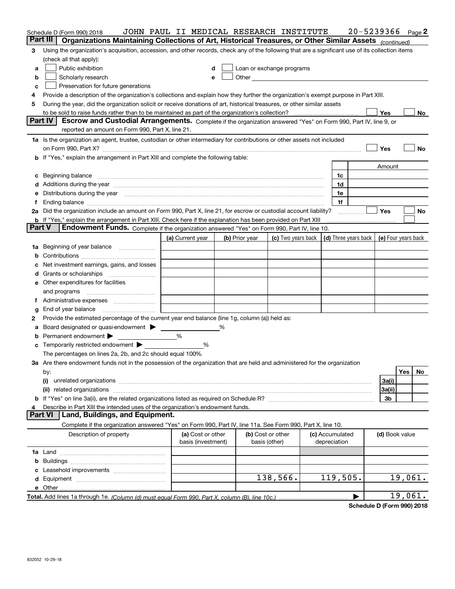|               | Schedule D (Form 990) 2018<br>Part III<br>Organizations Maintaining Collections of Art, Historical Treasures, or Other Similar Assets (continued)                                                                              | JOHN PAUL II MEDICAL RESEARCH INSTITUTE |                                                                                                                                                                                                                               |                                                                             |                                 | 20-5239366 |                |         | Page 2 |
|---------------|--------------------------------------------------------------------------------------------------------------------------------------------------------------------------------------------------------------------------------|-----------------------------------------|-------------------------------------------------------------------------------------------------------------------------------------------------------------------------------------------------------------------------------|-----------------------------------------------------------------------------|---------------------------------|------------|----------------|---------|--------|
|               |                                                                                                                                                                                                                                |                                         |                                                                                                                                                                                                                               |                                                                             |                                 |            |                |         |        |
| з             | Using the organization's acquisition, accession, and other records, check any of the following that are a significant use of its collection items                                                                              |                                         |                                                                                                                                                                                                                               |                                                                             |                                 |            |                |         |        |
|               | (check all that apply):                                                                                                                                                                                                        |                                         |                                                                                                                                                                                                                               |                                                                             |                                 |            |                |         |        |
| a             | Public exhibition                                                                                                                                                                                                              | d                                       | Loan or exchange programs                                                                                                                                                                                                     |                                                                             |                                 |            |                |         |        |
| b             | Scholarly research                                                                                                                                                                                                             | е                                       | Other and the contract of the contract of the contract of the contract of the contract of the contract of the contract of the contract of the contract of the contract of the contract of the contract of the contract of the |                                                                             |                                 |            |                |         |        |
| c             | Preservation for future generations                                                                                                                                                                                            |                                         |                                                                                                                                                                                                                               |                                                                             |                                 |            |                |         |        |
| 4             | Provide a description of the organization's collections and explain how they further the organization's exempt purpose in Part XIII.                                                                                           |                                         |                                                                                                                                                                                                                               |                                                                             |                                 |            |                |         |        |
| 5             | During the year, did the organization solicit or receive donations of art, historical treasures, or other similar assets                                                                                                       |                                         |                                                                                                                                                                                                                               |                                                                             |                                 |            |                |         |        |
|               |                                                                                                                                                                                                                                |                                         |                                                                                                                                                                                                                               |                                                                             |                                 |            | Yes            |         | No     |
|               | Part IV<br>Escrow and Custodial Arrangements. Complete if the organization answered "Yes" on Form 990, Part IV, line 9, or<br>reported an amount on Form 990, Part X, line 21.                                                 |                                         |                                                                                                                                                                                                                               |                                                                             |                                 |            |                |         |        |
|               | 1a Is the organization an agent, trustee, custodian or other intermediary for contributions or other assets not included                                                                                                       |                                         |                                                                                                                                                                                                                               |                                                                             |                                 |            |                |         |        |
|               | on Form 990, Part X? [11] matter contracts and contracts and contracts are contracted as a function of the set of the set of the set of the set of the set of the set of the set of the set of the set of the set of the set o |                                         |                                                                                                                                                                                                                               |                                                                             |                                 |            | Yes            |         | No     |
|               | <b>b</b> If "Yes," explain the arrangement in Part XIII and complete the following table:                                                                                                                                      |                                         |                                                                                                                                                                                                                               |                                                                             |                                 |            |                |         |        |
|               |                                                                                                                                                                                                                                |                                         |                                                                                                                                                                                                                               |                                                                             |                                 |            | Amount         |         |        |
|               |                                                                                                                                                                                                                                |                                         |                                                                                                                                                                                                                               |                                                                             | 1c                              |            |                |         |        |
| c             | Beginning balance <b>contract to the contract of the contract of the contract of the contract of the contract of t</b>                                                                                                         |                                         |                                                                                                                                                                                                                               |                                                                             | 1d                              |            |                |         |        |
|               | d Additions during the year measurement contains and a statement of a distribution of the statement of the statement of the statement of the statement of the statement of the statement of the statement of the statement of  |                                         |                                                                                                                                                                                                                               |                                                                             |                                 |            |                |         |        |
| е             | Distributions during the year manufactured and continuum control of the year manufactured and the year manufactured and the year manufactured and the year manufactured and the year manufactured and the year manufactured an |                                         |                                                                                                                                                                                                                               |                                                                             | 1e                              |            |                |         |        |
|               |                                                                                                                                                                                                                                |                                         |                                                                                                                                                                                                                               |                                                                             | 1f                              |            | <b>Yes</b>     |         |        |
|               | 2a Did the organization include an amount on Form 990, Part X, line 21, for escrow or custodial account liability?                                                                                                             |                                         |                                                                                                                                                                                                                               |                                                                             |                                 |            |                |         | No     |
| <b>Part V</b> | <b>b</b> If "Yes," explain the arrangement in Part XIII. Check here if the explanation has been provided on Part XIII<br>Endowment Funds. Complete if the organization answered "Yes" on Form 990, Part IV, line 10.           |                                         |                                                                                                                                                                                                                               |                                                                             |                                 |            |                |         |        |
|               |                                                                                                                                                                                                                                |                                         |                                                                                                                                                                                                                               |                                                                             |                                 |            |                |         |        |
|               |                                                                                                                                                                                                                                | (a) Current year                        | (b) Prior year                                                                                                                                                                                                                | (c) Two years back $\vert$ (d) Three years back $\vert$ (e) Four years back |                                 |            |                |         |        |
| 1a            | Beginning of year balance                                                                                                                                                                                                      |                                         |                                                                                                                                                                                                                               |                                                                             |                                 |            |                |         |        |
| b             |                                                                                                                                                                                                                                |                                         |                                                                                                                                                                                                                               |                                                                             |                                 |            |                |         |        |
|               | Net investment earnings, gains, and losses                                                                                                                                                                                     |                                         |                                                                                                                                                                                                                               |                                                                             |                                 |            |                |         |        |
| d             |                                                                                                                                                                                                                                |                                         |                                                                                                                                                                                                                               |                                                                             |                                 |            |                |         |        |
|               | <b>e</b> Other expenditures for facilities                                                                                                                                                                                     |                                         |                                                                                                                                                                                                                               |                                                                             |                                 |            |                |         |        |
|               | and programs                                                                                                                                                                                                                   |                                         |                                                                                                                                                                                                                               |                                                                             |                                 |            |                |         |        |
| Ť.            |                                                                                                                                                                                                                                |                                         |                                                                                                                                                                                                                               |                                                                             |                                 |            |                |         |        |
| g             | End of year balance                                                                                                                                                                                                            |                                         |                                                                                                                                                                                                                               |                                                                             |                                 |            |                |         |        |
| 2             | Provide the estimated percentage of the current year end balance (line 1g, column (a)) held as:                                                                                                                                |                                         |                                                                                                                                                                                                                               |                                                                             |                                 |            |                |         |        |
| а             | Board designated or quasi-endowment > _____                                                                                                                                                                                    |                                         |                                                                                                                                                                                                                               |                                                                             |                                 |            |                |         |        |
| b             | Permanent endowment                                                                                                                                                                                                            | %                                       |                                                                                                                                                                                                                               |                                                                             |                                 |            |                |         |        |
|               | Temporarily restricted endowment                                                                                                                                                                                               | %                                       |                                                                                                                                                                                                                               |                                                                             |                                 |            |                |         |        |
|               | The percentages on lines 2a, 2b, and 2c should equal 100%.                                                                                                                                                                     |                                         |                                                                                                                                                                                                                               |                                                                             |                                 |            |                |         |        |
|               | 3a Are there endowment funds not in the possession of the organization that are held and administered for the organization                                                                                                     |                                         |                                                                                                                                                                                                                               |                                                                             |                                 |            |                |         |        |
|               | by:                                                                                                                                                                                                                            |                                         |                                                                                                                                                                                                                               |                                                                             |                                 |            |                | Yes     | No     |
|               | (i)                                                                                                                                                                                                                            |                                         |                                                                                                                                                                                                                               |                                                                             |                                 |            | 3a(i)          |         |        |
|               | (ii)                                                                                                                                                                                                                           |                                         |                                                                                                                                                                                                                               |                                                                             |                                 |            | 3a(ii)         |         |        |
|               |                                                                                                                                                                                                                                |                                         |                                                                                                                                                                                                                               |                                                                             |                                 |            | 3b             |         |        |
| 4             | Describe in Part XIII the intended uses of the organization's endowment funds.                                                                                                                                                 |                                         |                                                                                                                                                                                                                               |                                                                             |                                 |            |                |         |        |
|               | Land, Buildings, and Equipment.<br><b>Part VI</b>                                                                                                                                                                              |                                         |                                                                                                                                                                                                                               |                                                                             |                                 |            |                |         |        |
|               | Complete if the organization answered "Yes" on Form 990, Part IV, line 11a. See Form 990, Part X, line 10.                                                                                                                     |                                         |                                                                                                                                                                                                                               |                                                                             |                                 |            |                |         |        |
|               | Description of property                                                                                                                                                                                                        | (a) Cost or other<br>basis (investment) | (b) Cost or other<br>basis (other)                                                                                                                                                                                            |                                                                             | (c) Accumulated<br>depreciation |            | (d) Book value |         |        |
|               |                                                                                                                                                                                                                                |                                         |                                                                                                                                                                                                                               |                                                                             |                                 |            |                |         |        |
|               |                                                                                                                                                                                                                                |                                         |                                                                                                                                                                                                                               |                                                                             |                                 |            |                |         |        |
|               |                                                                                                                                                                                                                                |                                         |                                                                                                                                                                                                                               |                                                                             |                                 |            |                |         |        |
|               |                                                                                                                                                                                                                                |                                         |                                                                                                                                                                                                                               | 138,566.                                                                    | 119,505.                        |            |                | 19,061. |        |
|               |                                                                                                                                                                                                                                |                                         |                                                                                                                                                                                                                               |                                                                             |                                 |            |                |         |        |
|               |                                                                                                                                                                                                                                |                                         |                                                                                                                                                                                                                               |                                                                             |                                 |            |                | 19,061. |        |
|               |                                                                                                                                                                                                                                |                                         |                                                                                                                                                                                                                               |                                                                             |                                 |            |                |         |        |

**Schedule D (Form 990) 2018**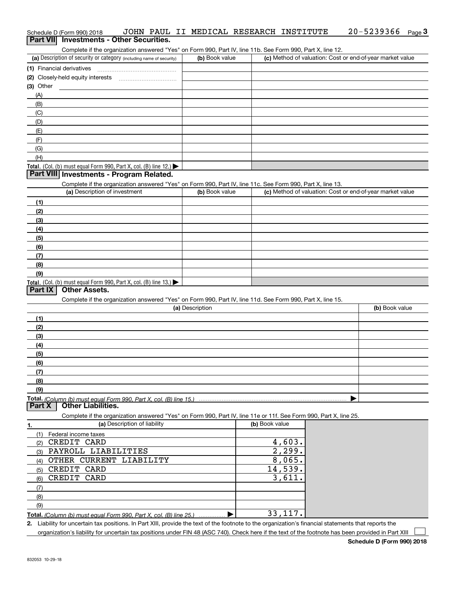| Schedule D (Form 990) 2018               |  |  | JOHN PAUL II MEDICAL RESEARCH INSTITUTE | $20 - 5239366$ Page 3 |  |
|------------------------------------------|--|--|-----------------------------------------|-----------------------|--|
| Part VII Investments - Other Securities. |  |  |                                         |                       |  |

Complete if the organization answered "Yes" on Form 990, Part IV, line 11b. See Form 990, Part X, line 12.

| (a) Description of security or category (including name of security)                          | (b) Book value | (c) Method of valuation: Cost or end-of-year market value |
|-----------------------------------------------------------------------------------------------|----------------|-----------------------------------------------------------|
| (1) Financial derivatives                                                                     |                |                                                           |
| (2) Closely-held equity interests                                                             |                |                                                           |
| $(3)$ Other                                                                                   |                |                                                           |
| (A)                                                                                           |                |                                                           |
| (B)                                                                                           |                |                                                           |
| (C)                                                                                           |                |                                                           |
| (D)                                                                                           |                |                                                           |
| (E)                                                                                           |                |                                                           |
|                                                                                               |                |                                                           |
| (G)                                                                                           |                |                                                           |
| (H)                                                                                           |                |                                                           |
| <b>Total.</b> (Col. (b) must equal Form 990, Part X, col. (B) line 12.) $\blacktriangleright$ |                |                                                           |

## **Part VIII Investments - Program Related.**

Complete if the organization answered "Yes" on Form 990, Part IV, line 11c. See Form 990, Part X, line 13.

| (a) Description of investment                                    | (b) Book value | (c) Method of valuation: Cost or end-of-year market value |
|------------------------------------------------------------------|----------------|-----------------------------------------------------------|
| (1)                                                              |                |                                                           |
| (2)                                                              |                |                                                           |
| $\frac{1}{2}$                                                    |                |                                                           |
| (4)                                                              |                |                                                           |
| $\frac{1}{2}$                                                    |                |                                                           |
| (6)                                                              |                |                                                           |
| (7)                                                              |                |                                                           |
| (8)                                                              |                |                                                           |
| (9)                                                              |                |                                                           |
| Total. (Col. (b) must equal Form 990, Part X, col. (B) line 13.) |                |                                                           |

## **Part IX Other Assets.**

Complete if the organization answered "Yes" on Form 990, Part IV, line 11d. See Form 990, Part X, line 15.

| (a) Description   | (b) Book value |
|-------------------|----------------|
| (1)               |                |
| (2)               |                |
| $\frac{1}{2}$     |                |
| (4)               |                |
| $\frac{1}{2}$ (5) |                |
| (6)               |                |
| (7)               |                |
| (8)               |                |
| (9)               |                |
|                   |                |

**Part X Other Liabilities.**

Complete if the organization answered "Yes" on Form 990, Part IV, line 11e or 11f. See Form 990, Part X, line 25.

| 1.  | (a) Description of liability                                            | (b) Book value |
|-----|-------------------------------------------------------------------------|----------------|
|     | Federal income taxes                                                    |                |
| (2) | CREDIT CARD                                                             | 4,603.         |
| (3) | PAYROLL LIABILITIES                                                     | 2, 299.        |
| (4) | CURRENT<br>LIABILITY<br>OTHER                                           | 8,065.         |
| (5) | CREDIT CARD                                                             | 14,539.        |
| (6) | CREDIT CARD                                                             | 3,611.         |
|     |                                                                         |                |
| (8) |                                                                         |                |
| (9) |                                                                         |                |
|     | Total. (Column (b) must equal Form 990, Part X, col. (B) line 25.)<br>. | 33,117.        |

**2.**Liability for uncertain tax positions. In Part XIII, provide the text of the footnote to the organization's financial statements that reports the organization's liability for uncertain tax positions under FIN 48 (ASC 740). Check here if the text of the footnote has been provided in Part XIII

 $\mathcal{L}^{\text{max}}$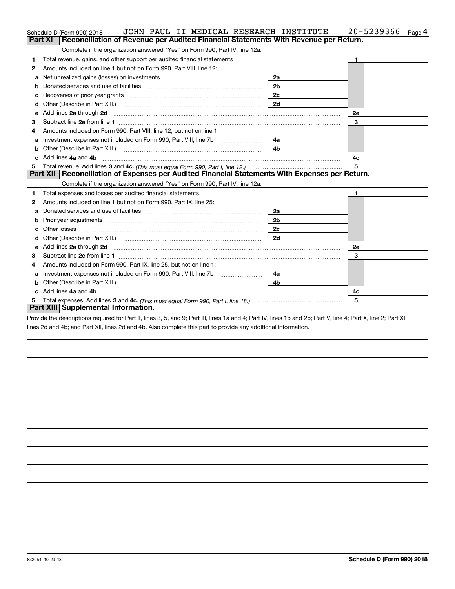|    | JOHN PAUL II MEDICAL RESEARCH INSTITUTE<br>Schedule D (Form 990) 2018                                                                                                                                                               |                | 20-5239366<br>Page 4 |
|----|-------------------------------------------------------------------------------------------------------------------------------------------------------------------------------------------------------------------------------------|----------------|----------------------|
|    | <b>Part XI</b><br>Reconciliation of Revenue per Audited Financial Statements With Revenue per Return.                                                                                                                               |                |                      |
|    | Complete if the organization answered "Yes" on Form 990, Part IV, line 12a.                                                                                                                                                         |                |                      |
| 1  | Total revenue, gains, and other support per audited financial statements                                                                                                                                                            |                | $\blacksquare$       |
| 2  | Amounts included on line 1 but not on Form 990, Part VIII, line 12:                                                                                                                                                                 |                |                      |
| a  | Net unrealized gains (losses) on investments [11] matter contracts and all the unrealized gains (losses) on investments [11] matter contracts and the unrealized gains (losses) on investments [11] matter contracts and the u      | 2a             |                      |
|    |                                                                                                                                                                                                                                     | 2 <sub>b</sub> |                      |
| с  | Recoveries of prior year grants [111] matter contracts and prior year grants [11] matter contracts and prior year grants and an interval matter contracts and prior year grants and an interval matter contracts and prior yea      | 2c             |                      |
| d  |                                                                                                                                                                                                                                     | 2d             |                      |
| е  | Add lines 2a through 2d                                                                                                                                                                                                             |                | 2e                   |
| 3  |                                                                                                                                                                                                                                     |                | 3                    |
| 4  | Amounts included on Form 990, Part VIII, line 12, but not on line 1:                                                                                                                                                                |                |                      |
|    | Investment expenses not included on Form 990, Part VIII, line 7b [111] [11] [12]                                                                                                                                                    | - 4а           |                      |
| b  |                                                                                                                                                                                                                                     | 4 <sub>b</sub> |                      |
| c. | Add lines 4a and 4b                                                                                                                                                                                                                 |                | 4c                   |
| 5  |                                                                                                                                                                                                                                     |                | 5                    |
|    | Part XII   Reconciliation of Expenses per Audited Financial Statements With Expenses per Return.                                                                                                                                    |                |                      |
|    | Complete if the organization answered "Yes" on Form 990, Part IV, line 12a.                                                                                                                                                         |                |                      |
| 1  |                                                                                                                                                                                                                                     |                | $\mathbf{1}$         |
| 2  | Amounts included on line 1 but not on Form 990, Part IX, line 25:                                                                                                                                                                   |                |                      |
| a  |                                                                                                                                                                                                                                     | 2a             |                      |
| b  |                                                                                                                                                                                                                                     | 2 <sub>b</sub> |                      |
| c  |                                                                                                                                                                                                                                     | 2 <sub>c</sub> |                      |
| d  |                                                                                                                                                                                                                                     | 2d             |                      |
|    |                                                                                                                                                                                                                                     |                |                      |
| е  | Add lines 2a through 2d <b>must be a constructed as the constant of the S2a</b> through 2d must be a constructed as a construction of the set of the set of the set of the set of the set of the set of the set of the set of the s |                | 2e                   |
| 3  |                                                                                                                                                                                                                                     |                | 3                    |
| 4  | Amounts included on Form 990, Part IX, line 25, but not on line 1:                                                                                                                                                                  |                |                      |
| a  | Investment expenses not included on Form 990, Part VIII, line 7b [111] [11] [12]                                                                                                                                                    | 4a l           |                      |
| b  |                                                                                                                                                                                                                                     | 4b             |                      |
|    | Add lines 4a and 4b                                                                                                                                                                                                                 |                | 4с                   |
|    | Part XIII Supplemental Information.                                                                                                                                                                                                 |                | 5                    |

Provide the descriptions required for Part II, lines 3, 5, and 9; Part III, lines 1a and 4; Part IV, lines 1b and 2b; Part V, line 4; Part X, line 2; Part XI, lines 2d and 4b; and Part XII, lines 2d and 4b. Also complete this part to provide any additional information.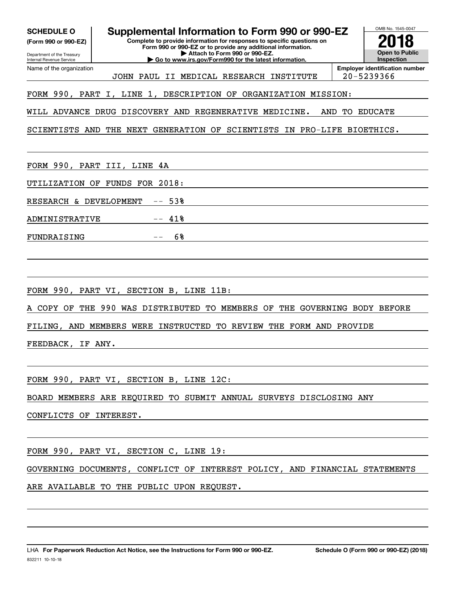| <b>SCHEDULE O</b><br>(Form 990 or 990-EZ)<br>Department of the Treasury<br>Internal Revenue Service | <b>Supplemental Information to Form 990 or 990-EZ</b><br>Complete to provide information for responses to specific questions on<br>Form 990 or 990-EZ or to provide any additional information.<br>Attach to Form 990 or 990-EZ.<br>Go to www.irs.gov/Form990 for the latest information. |                       | OMB No. 1545-0047<br><b>Open to Public</b><br><b>Inspection</b> |  |  |  |  |  |  |
|-----------------------------------------------------------------------------------------------------|-------------------------------------------------------------------------------------------------------------------------------------------------------------------------------------------------------------------------------------------------------------------------------------------|-----------------------|-----------------------------------------------------------------|--|--|--|--|--|--|
| Name of the organization                                                                            | JOHN PAUL II MEDICAL RESEARCH INSTITUTE                                                                                                                                                                                                                                                   | 20-5239366            | <b>Employer identification number</b>                           |  |  |  |  |  |  |
| FORM 990, PART I, LINE 1, DESCRIPTION OF ORGANIZATION MISSION:                                      |                                                                                                                                                                                                                                                                                           |                       |                                                                 |  |  |  |  |  |  |
|                                                                                                     | WILL ADVANCE DRUG DISCOVERY AND REGENERATIVE MEDICINE.<br>AND                                                                                                                                                                                                                             | TО                    | EDUCATE                                                         |  |  |  |  |  |  |
| SCIENTISTS AND                                                                                      | THE NEXT GENERATION OF SCIENTISTS IN PRO-LIFE BIOETHICS.                                                                                                                                                                                                                                  |                       |                                                                 |  |  |  |  |  |  |
| FORM 990, PART III, LINE                                                                            | 4A                                                                                                                                                                                                                                                                                        |                       |                                                                 |  |  |  |  |  |  |
| UTILIZATION OF                                                                                      | FUNDS FOR<br>2018:                                                                                                                                                                                                                                                                        |                       |                                                                 |  |  |  |  |  |  |
| RESEARCH & DEVELOPMENT                                                                              | $-- 53%$                                                                                                                                                                                                                                                                                  |                       |                                                                 |  |  |  |  |  |  |
| ADMINISTRATIVE                                                                                      | 41%                                                                                                                                                                                                                                                                                       |                       |                                                                 |  |  |  |  |  |  |
| FUNDRAISING                                                                                         | 6%                                                                                                                                                                                                                                                                                        |                       |                                                                 |  |  |  |  |  |  |
|                                                                                                     |                                                                                                                                                                                                                                                                                           |                       |                                                                 |  |  |  |  |  |  |
|                                                                                                     | FORM 990, PART VI, SECTION B, LINE 11B:                                                                                                                                                                                                                                                   |                       |                                                                 |  |  |  |  |  |  |
| A COPY OF                                                                                           | THE 990 WAS DISTRIBUTED<br>THE<br>TO MEMBERS OF                                                                                                                                                                                                                                           | GOVERNING BODY BEFORE |                                                                 |  |  |  |  |  |  |
| FILING, AND MEMBERS WERE                                                                            | INSTRUCTED<br>THE FORM AND PROVIDE<br>TO REVIEW                                                                                                                                                                                                                                           |                       |                                                                 |  |  |  |  |  |  |
| FEEDBACK,                                                                                           | IF ANY.                                                                                                                                                                                                                                                                                   |                       |                                                                 |  |  |  |  |  |  |
|                                                                                                     |                                                                                                                                                                                                                                                                                           |                       |                                                                 |  |  |  |  |  |  |
|                                                                                                     | FORM 990, PART VI, SECTION B, LINE 12C:                                                                                                                                                                                                                                                   |                       |                                                                 |  |  |  |  |  |  |
|                                                                                                     | BOARD MEMBERS ARE REQUIRED TO SUBMIT ANNUAL SURVEYS DISCLOSING ANY                                                                                                                                                                                                                        |                       |                                                                 |  |  |  |  |  |  |
| CONFLICTS OF INTEREST.                                                                              |                                                                                                                                                                                                                                                                                           |                       |                                                                 |  |  |  |  |  |  |
|                                                                                                     | FORM 990, PART VI, SECTION C, LINE 19:                                                                                                                                                                                                                                                    |                       |                                                                 |  |  |  |  |  |  |
|                                                                                                     | GOVERNING DOCUMENTS, CONFLICT OF INTEREST POLICY, AND FINANCIAL STATEMENTS                                                                                                                                                                                                                |                       |                                                                 |  |  |  |  |  |  |
|                                                                                                     | ARE AVAILABLE TO THE PUBLIC UPON REQUEST.                                                                                                                                                                                                                                                 |                       |                                                                 |  |  |  |  |  |  |
|                                                                                                     |                                                                                                                                                                                                                                                                                           |                       |                                                                 |  |  |  |  |  |  |